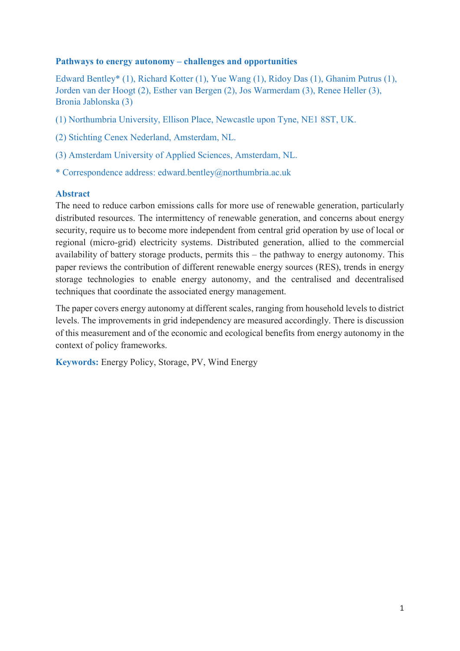### **Pathways to energy autonomy – challenges and opportunities**

Edward Bentley\* (1), Richard Kotter (1), Yue Wang (1), Ridoy Das (1), Ghanim Putrus (1), Jorden van der Hoogt (2), Esther van Bergen (2), Jos Warmerdam (3), Renee Heller (3), Bronia Jablonska (3)

- (1) Northumbria University, Ellison Place, Newcastle upon Tyne, NE1 8ST, UK.
- (2) Stichting Cenex Nederland, Amsterdam, NL.
- (3) Amsterdam University of Applied Sciences, Amsterdam, NL.
- \* Correspondence address: edward.bentley@northumbria.ac.uk

#### **Abstract**

The need to reduce carbon emissions calls for more use of renewable generation, particularly distributed resources. The intermittency of renewable generation, and concerns about energy security, require us to become more independent from central grid operation by use of local or regional (micro-grid) electricity systems. Distributed generation, allied to the commercial availability of battery storage products, permits this – the pathway to energy autonomy. This paper reviews the contribution of different renewable energy sources (RES), trends in energy storage technologies to enable energy autonomy, and the centralised and decentralised techniques that coordinate the associated energy management.

The paper covers energy autonomy at different scales, ranging from household levels to district levels. The improvements in grid independency are measured accordingly. There is discussion of this measurement and of the economic and ecological benefits from energy autonomy in the context of policy frameworks.

**Keywords:** Energy Policy, Storage, PV, Wind Energy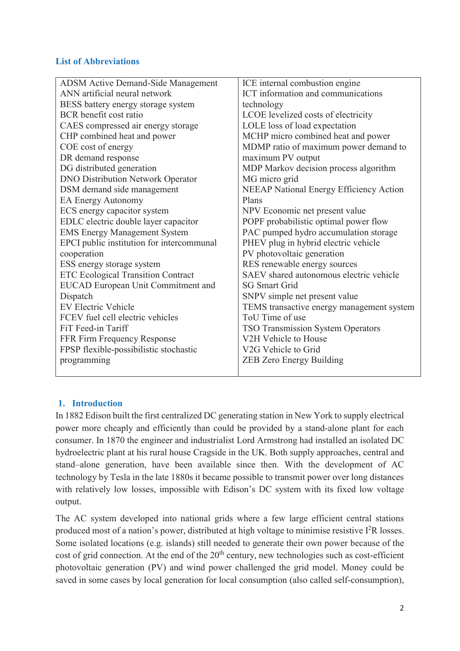### **List of Abbreviations**

| <b>ADSM Active Demand-Side Management</b> | ICE internal combustion engine                 |
|-------------------------------------------|------------------------------------------------|
| ANN artificial neural network             | ICT information and communications             |
| BESS battery energy storage system        | technology                                     |
| BCR benefit cost ratio                    | LCOE levelized costs of electricity            |
| CAES compressed air energy storage        | LOLE loss of load expectation                  |
| CHP combined heat and power               | MCHP micro combined heat and power             |
| COE cost of energy                        | MDMP ratio of maximum power demand to          |
| DR demand response                        | maximum PV output                              |
| DG distributed generation                 | MDP Markov decision process algorithm          |
| <b>DNO Distribution Network Operator</b>  | MG micro grid                                  |
| DSM demand side management                | <b>NEEAP National Energy Efficiency Action</b> |
| <b>EA Energy Autonomy</b>                 | Plans                                          |
| ECS energy capacitor system               | NPV Economic net present value                 |
| EDLC electric double layer capacitor      | POPF probabilistic optimal power flow          |
| <b>EMS Energy Management System</b>       | PAC pumped hydro accumulation storage          |
| EPCI public institution for intercommunal | PHEV plug in hybrid electric vehicle           |
| cooperation                               | PV photovoltaic generation                     |
| ESS energy storage system                 | RES renewable energy sources                   |
| <b>ETC Ecological Transition Contract</b> | SAEV shared autonomous electric vehicle        |
| EUCAD European Unit Commitment and        | <b>SG Smart Grid</b>                           |
| Dispatch                                  | SNPV simple net present value                  |
| <b>EV Electric Vehicle</b>                | TEMS transactive energy management system      |
| FCEV fuel cell electric vehicles          | ToU Time of use                                |
| FiT Feed-in Tariff                        | <b>TSO Transmission System Operators</b>       |
| FFR Firm Frequency Response               | V2H Vehicle to House                           |
| FPSP flexible-possibilistic stochastic    | V <sub>2G</sub> Vehicle to Grid                |
| programming                               | <b>ZEB Zero Energy Building</b>                |
|                                           |                                                |

## **1. Introduction**

In 1882 Edison built the first centralized DC generating station in New York to supply electrical power more cheaply and efficiently than could be provided by a stand-alone plant for each consumer. In 1870 the engineer and industrialist Lord Armstrong had installed an isolated DC hydroelectric plant at his rural house Cragside in the UK. Both supply approaches, central and stand–alone generation, have been available since then. With the development of AC technology by Tesla in the late 1880s it became possible to transmit power over long distances with relatively low losses, impossible with Edison's DC system with its fixed low voltage output.

The AC system developed into national grids where a few large efficient central stations produced most of a nation's power, distributed at high voltage to minimise resistive  $I^2R$  losses. Some isolated locations (e.g. islands) still needed to generate their own power because of the cost of grid connection. At the end of the 20<sup>th</sup> century, new technologies such as cost-efficient photovoltaic generation (PV) and wind power challenged the grid model. Money could be saved in some cases by local generation for local consumption (also called self-consumption),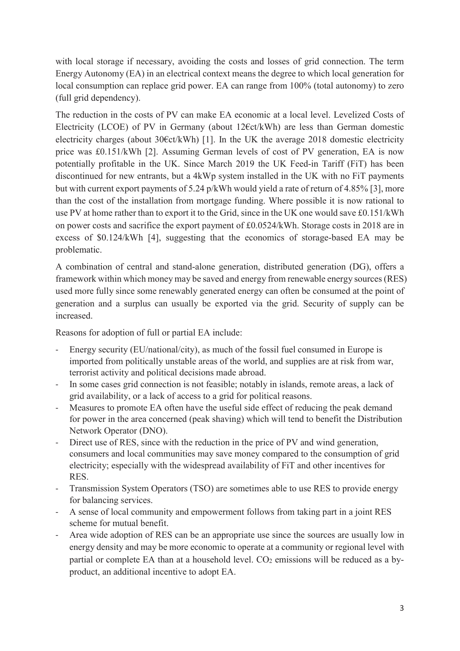with local storage if necessary, avoiding the costs and losses of grid connection. The term Energy Autonomy (EA) in an electrical context means the degree to which local generation for local consumption can replace grid power. EA can range from 100% (total autonomy) to zero (full grid dependency).

The reduction in the costs of PV can make EA economic at a local level. Levelized Costs of Electricity (LCOE) of PV in Germany (about 12€ct/kWh) are less than German domestic electricity charges (about  $30\epsilon ct/kWh$ ) [1]. In the UK the average 2018 domestic electricity price was £0.151/kWh [2]. Assuming German levels of cost of PV generation, EA is now potentially profitable in the UK. Since March 2019 the UK Feed-in Tariff (FiT) has been discontinued for new entrants, but a 4kWp system installed in the UK with no FiT payments but with current export payments of 5.24 p/kWh would yield a rate of return of 4.85% [3], more than the cost of the installation from mortgage funding. Where possible it is now rational to use PV at home rather than to export it to the Grid, since in the UK one would save £0.151/kWh on power costs and sacrifice the export payment of £0.0524/kWh. Storage costs in 2018 are in excess of \$0.124/kWh [4], suggesting that the economics of storage-based EA may be problematic.

A combination of central and stand-alone generation, distributed generation (DG), offers a framework within which money may be saved and energy from renewable energy sources (RES) used more fully since some renewably generated energy can often be consumed at the point of generation and a surplus can usually be exported via the grid. Security of supply can be increased.

Reasons for adoption of full or partial EA include:

- Energy security (EU/national/city), as much of the fossil fuel consumed in Europe is imported from politically unstable areas of the world, and supplies are at risk from war, terrorist activity and political decisions made abroad.
- In some cases grid connection is not feasible; notably in islands, remote areas, a lack of grid availability, or a lack of access to a grid for political reasons.
- Measures to promote EA often have the useful side effect of reducing the peak demand for power in the area concerned (peak shaving) which will tend to benefit the Distribution Network Operator (DNO).
- Direct use of RES, since with the reduction in the price of PV and wind generation, consumers and local communities may save money compared to the consumption of grid electricity; especially with the widespread availability of FiT and other incentives for RES.
- Transmission System Operators (TSO) are sometimes able to use RES to provide energy for balancing services.
- A sense of local community and empowerment follows from taking part in a joint RES scheme for mutual benefit.
- Area wide adoption of RES can be an appropriate use since the sources are usually low in energy density and may be more economic to operate at a community or regional level with partial or complete EA than at a household level.  $CO<sub>2</sub>$  emissions will be reduced as a byproduct, an additional incentive to adopt EA.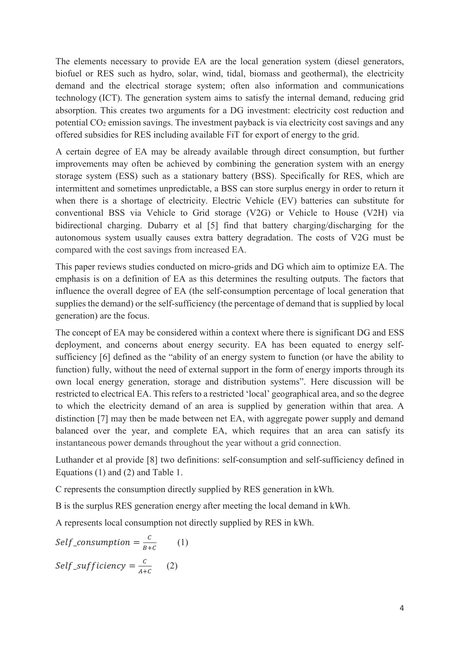The elements necessary to provide EA are the local generation system (diesel generators, biofuel or RES such as hydro, solar, wind, tidal, biomass and geothermal), the electricity demand and the electrical storage system; often also information and communications technology (ICT). The generation system aims to satisfy the internal demand, reducing grid absorption. This creates two arguments for a DG investment: electricity cost reduction and potential  $CO<sub>2</sub>$  emission savings. The investment payback is via electricity cost savings and any offered subsidies for RES including available FiT for export of energy to the grid.

A certain degree of EA may be already available through direct consumption, but further improvements may often be achieved by combining the generation system with an energy storage system (ESS) such as a stationary battery (BSS). Specifically for RES, which are intermittent and sometimes unpredictable, a BSS can store surplus energy in order to return it when there is a shortage of electricity. Electric Vehicle (EV) batteries can substitute for conventional BSS via Vehicle to Grid storage (V2G) or Vehicle to House (V2H) via bidirectional charging. Dubarry et al [5] find that battery charging/discharging for the autonomous system usually causes extra battery degradation. The costs of V2G must be compared with the cost savings from increased EA.

This paper reviews studies conducted on micro-grids and DG which aim to optimize EA. The emphasis is on a definition of EA as this determines the resulting outputs. The factors that influence the overall degree of EA (the self-consumption percentage of local generation that supplies the demand) or the self-sufficiency (the percentage of demand that is supplied by local generation) are the focus.

The concept of EA may be considered within a context where there is significant DG and ESS deployment, and concerns about energy security. EA has been equated to energy selfsufficiency [6] defined as the "ability of an energy system to function (or have the ability to function) fully, without the need of external support in the form of energy imports through its own local energy generation, storage and distribution systems". Here discussion will be restricted to electrical EA. This refers to a restricted 'local' geographical area, and so the degree to which the electricity demand of an area is supplied by generation within that area. A distinction [7] may then be made between net EA, with aggregate power supply and demand balanced over the year, and complete EA, which requires that an area can satisfy its instantaneous power demands throughout the year without a grid connection.

Luthander et al provide [8] two definitions: self-consumption and self-sufficiency defined in Equations (1) and (2) and Table 1.

C represents the consumption directly supplied by RES generation in kWh.

B is the surplus RES generation energy after meeting the local demand in kWh.

A represents local consumption not directly supplied by RES in kWh.

$$
Self_{\text{con}} = \frac{c}{B + c} \qquad (1)
$$
\n
$$
Self_{\text{out}} = \frac{c}{A + c} \qquad (2)
$$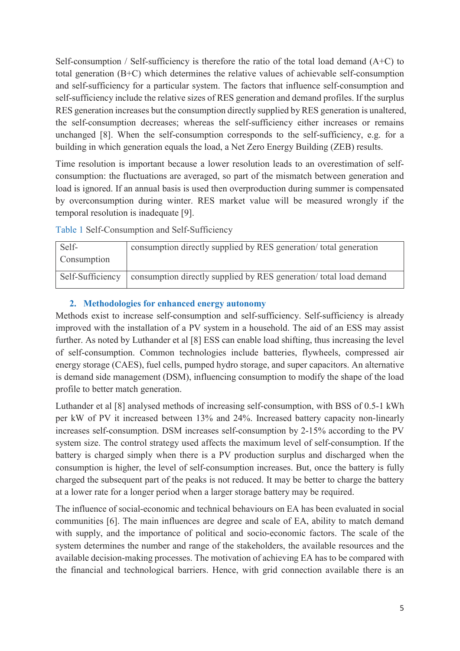Self-consumption / Self-sufficiency is therefore the ratio of the total load demand  $(A+C)$  to total generation (B+C) which determines the relative values of achievable self-consumption and self-sufficiency for a particular system. The factors that influence self-consumption and self-sufficiency include the relative sizes of RES generation and demand profiles. If the surplus RES generation increases but the consumption directly supplied by RES generation is unaltered, the self-consumption decreases; whereas the self-sufficiency either increases or remains unchanged [8]. When the self-consumption corresponds to the self-sufficiency, e.g. for a building in which generation equals the load, a Net Zero Energy Building (ZEB) results.

Time resolution is important because a lower resolution leads to an overestimation of selfconsumption: the fluctuations are averaged, so part of the mismatch between generation and load is ignored. If an annual basis is used then overproduction during summer is compensated by overconsumption during winter. RES market value will be measured wrongly if the temporal resolution is inadequate [9].

Table 1 Self-Consumption and Self-Sufficiency

| Self-       | consumption directly supplied by RES generation/ total generation                  |
|-------------|------------------------------------------------------------------------------------|
| Consumption |                                                                                    |
|             | Self-Sufficiency consumption directly supplied by RES generation total load demand |

# **2. Methodologies for enhanced energy autonomy**

Methods exist to increase self-consumption and self-sufficiency. Self-sufficiency is already improved with the installation of a PV system in a household. The aid of an ESS may assist further. As noted by Luthander et al [8] ESS can enable load shifting, thus increasing the level of self-consumption. Common technologies include batteries, flywheels, compressed air energy storage (CAES), fuel cells, pumped hydro storage, and super capacitors. An alternative is demand side management (DSM), influencing consumption to modify the shape of the load profile to better match generation.

Luthander et al [8] analysed methods of increasing self-consumption, with BSS of 0.5-1 kWh per kW of PV it increased between 13% and 24%. Increased battery capacity non-linearly increases self-consumption. DSM increases self-consumption by 2-15% according to the PV system size. The control strategy used affects the maximum level of self-consumption. If the battery is charged simply when there is a PV production surplus and discharged when the consumption is higher, the level of self-consumption increases. But, once the battery is fully charged the subsequent part of the peaks is not reduced. It may be better to charge the battery at a lower rate for a longer period when a larger storage battery may be required.

The influence of social-economic and technical behaviours on EA has been evaluated in social communities [6]. The main influences are degree and scale of EA, ability to match demand with supply, and the importance of political and socio-economic factors. The scale of the system determines the number and range of the stakeholders, the available resources and the available decision-making processes. The motivation of achieving EA has to be compared with the financial and technological barriers. Hence, with grid connection available there is an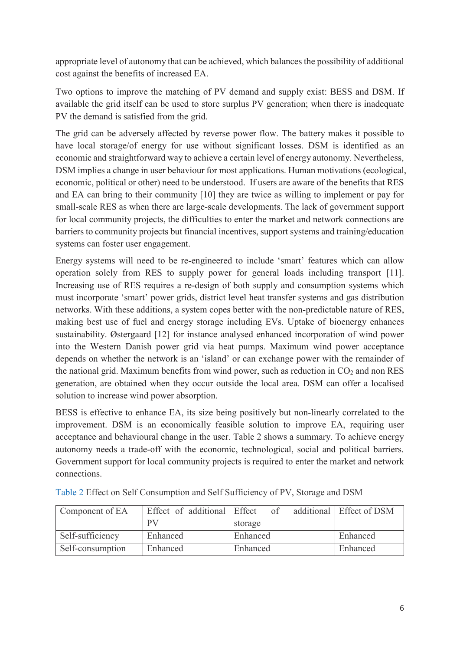appropriate level of autonomy that can be achieved, which balances the possibility of additional cost against the benefits of increased EA.

Two options to improve the matching of PV demand and supply exist: BESS and DSM. If available the grid itself can be used to store surplus PV generation; when there is inadequate PV the demand is satisfied from the grid.

The grid can be adversely affected by reverse power flow. The battery makes it possible to have local storage/of energy for use without significant losses. DSM is identified as an economic and straightforward way to achieve a certain level of energy autonomy. Nevertheless, DSM implies a change in user behaviour for most applications. Human motivations (ecological, economic, political or other) need to be understood. If users are aware of the benefits that RES and EA can bring to their community [10] they are twice as willing to implement or pay for small-scale RES as when there are large-scale developments. The lack of government support for local community projects, the difficulties to enter the market and network connections are barriers to community projects but financial incentives, support systems and training/education systems can foster user engagement.

Energy systems will need to be re-engineered to include 'smart' features which can allow operation solely from RES to supply power for general loads including transport [11]. Increasing use of RES requires a re-design of both supply and consumption systems which must incorporate 'smart' power grids, district level heat transfer systems and gas distribution networks. With these additions, a system copes better with the non-predictable nature of RES, making best use of fuel and energy storage including EVs. Uptake of bioenergy enhances sustainability. Østergaard [12] for instance analysed enhanced incorporation of wind power into the Western Danish power grid via heat pumps. Maximum wind power acceptance depends on whether the network is an 'island' or can exchange power with the remainder of the national grid. Maximum benefits from wind power, such as reduction in  $CO<sub>2</sub>$  and non RES generation, are obtained when they occur outside the local area. DSM can offer a localised solution to increase wind power absorption.

BESS is effective to enhance EA, its size being positively but non-linearly correlated to the improvement. DSM is an economically feasible solution to improve EA, requiring user acceptance and behavioural change in the user. Table 2 shows a summary. To achieve energy autonomy needs a trade-off with the economic, technological, social and political barriers. Government support for local community projects is required to enter the market and network connections.

| Component of EA  | Effect of additional Effect | $\circ$ of |          | additional Effect of DSM |
|------------------|-----------------------------|------------|----------|--------------------------|
|                  | PV                          | storage    |          |                          |
| Self-sufficiency | Enhanced                    | Enhanced   | Enhanced |                          |
| Self-consumption | Enhanced                    | Enhanced   |          | Enhanced                 |

Table 2 Effect on Self Consumption and Self Sufficiency of PV, Storage and DSM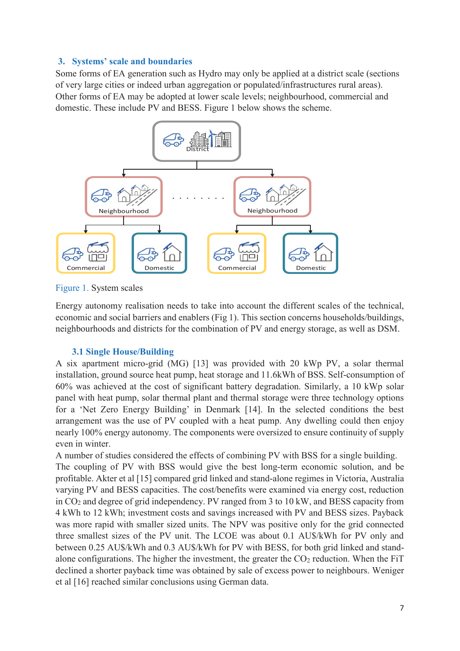## **3. Systems' scale and boundaries**

Some forms of EA generation such as Hydro may only be applied at a district scale (sections of very large cities or indeed urban aggregation or populated/infrastructures rural areas). Other forms of EA may be adopted at lower scale levels; neighbourhood, commercial and domestic. These include PV and BESS. Figure 1 below shows the scheme.



Figure 1. System scales

Energy autonomy realisation needs to take into account the different scales of the technical, economic and social barriers and enablers (Fig 1). This section concerns households/buildings, neighbourhoods and districts for the combination of PV and energy storage, as well as DSM.

# **3.1 Single House/Building**

A six apartment micro-grid (MG) [13] was provided with 20 kWp PV, a solar thermal installation, ground source heat pump, heat storage and 11.6kWh of BSS. Self-consumption of 60% was achieved at the cost of significant battery degradation. Similarly, a 10 kWp solar panel with heat pump, solar thermal plant and thermal storage were three technology options for a 'Net Zero Energy Building' in Denmark [14]. In the selected conditions the best arrangement was the use of PV coupled with a heat pump. Any dwelling could then enjoy nearly 100% energy autonomy. The components were oversized to ensure continuity of supply even in winter.

A number of studies considered the effects of combining PV with BSS for a single building. The coupling of PV with BSS would give the best long-term economic solution, and be profitable. Akter et al [15] compared grid linked and stand-alone regimes in Victoria, Australia varying PV and BESS capacities. The cost/benefits were examined via energy cost, reduction in CO2 and degree of grid independency. PV ranged from 3 to 10 kW, and BESS capacity from 4 kWh to 12 kWh; investment costs and savings increased with PV and BESS sizes. Payback was more rapid with smaller sized units. The NPV was positive only for the grid connected three smallest sizes of the PV unit. The LCOE was about 0.1 AU\$/kWh for PV only and between 0.25 AU\$/kWh and 0.3 AU\$/kWh for PV with BESS, for both grid linked and standalone configurations. The higher the investment, the greater the  $CO<sub>2</sub>$  reduction. When the FiT declined a shorter payback time was obtained by sale of excess power to neighbours. Weniger et al [16] reached similar conclusions using German data.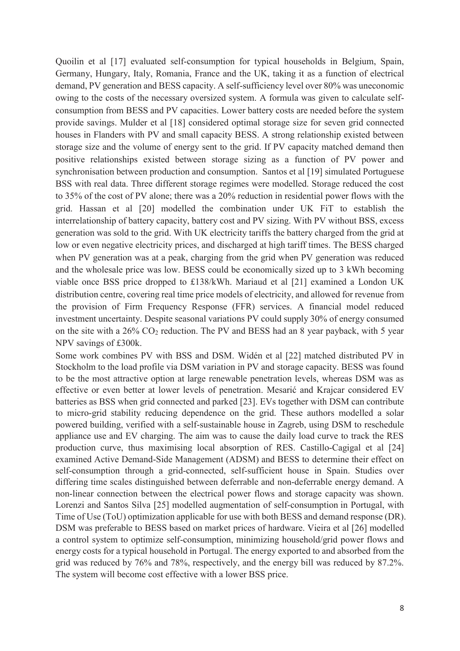Quoilin et al [17] evaluated self-consumption for typical households in Belgium, Spain, Germany, Hungary, Italy, Romania, France and the UK, taking it as a function of electrical demand, PV generation and BESS capacity. A self-sufficiency level over 80% was uneconomic owing to the costs of the necessary oversized system. A formula was given to calculate selfconsumption from BESS and PV capacities. Lower battery costs are needed before the system provide savings. Mulder et al [18] considered optimal storage size for seven grid connected houses in Flanders with PV and small capacity BESS. A strong relationship existed between storage size and the volume of energy sent to the grid. If PV capacity matched demand then positive relationships existed between storage sizing as a function of PV power and synchronisation between production and consumption. Santos et al [19] simulated Portuguese BSS with real data. Three different storage regimes were modelled. Storage reduced the cost to 35% of the cost of PV alone; there was a 20% reduction in residential power flows with the grid. Hassan et al [20] modelled the combination under UK FiT to establish the interrelationship of battery capacity, battery cost and PV sizing. With PV without BSS, excess generation was sold to the grid. With UK electricity tariffs the battery charged from the grid at low or even negative electricity prices, and discharged at high tariff times. The BESS charged when PV generation was at a peak, charging from the grid when PV generation was reduced and the wholesale price was low. BESS could be economically sized up to 3 kWh becoming viable once BSS price dropped to £138/kWh. Mariaud et al [21] examined a London UK distribution centre, covering real time price models of electricity, and allowed for revenue from the provision of Firm Frequency Response (FFR) services. A financial model reduced investment uncertainty. Despite seasonal variations PV could supply 30% of energy consumed on the site with a  $26\%$  CO<sub>2</sub> reduction. The PV and BESS had an 8 year payback, with 5 year NPV savings of £300k.

Some work combines PV with BSS and DSM. Widén et al [22] matched distributed PV in Stockholm to the load profile via DSM variation in PV and storage capacity. BESS was found to be the most attractive option at large renewable penetration levels, whereas DSM was as effective or even better at lower levels of penetration. Mesarić and Krajcar considered EV batteries as BSS when grid connected and parked [23]. EVs together with DSM can contribute to micro-grid stability reducing dependence on the grid. These authors modelled a solar powered building, verified with a self-sustainable house in Zagreb, using DSM to reschedule appliance use and EV charging. The aim was to cause the daily load curve to track the RES production curve, thus maximising local absorption of RES. Castillo-Cagigal et al [24] examined Active Demand-Side Management (ADSM) and BESS to determine their effect on self-consumption through a grid-connected, self-sufficient house in Spain. Studies over differing time scales distinguished between deferrable and non-deferrable energy demand. A non-linear connection between the electrical power flows and storage capacity was shown. Lorenzi and Santos Silva [25] modelled augmentation of self-consumption in Portugal, with Time of Use (ToU) optimization applicable for use with both BESS and demand response (DR). DSM was preferable to BESS based on market prices of hardware. Vieira et al [26] modelled a control system to optimize self-consumption, minimizing household/grid power flows and energy costs for a typical household in Portugal. The energy exported to and absorbed from the grid was reduced by 76% and 78%, respectively, and the energy bill was reduced by 87.2%. The system will become cost effective with a lower BSS price.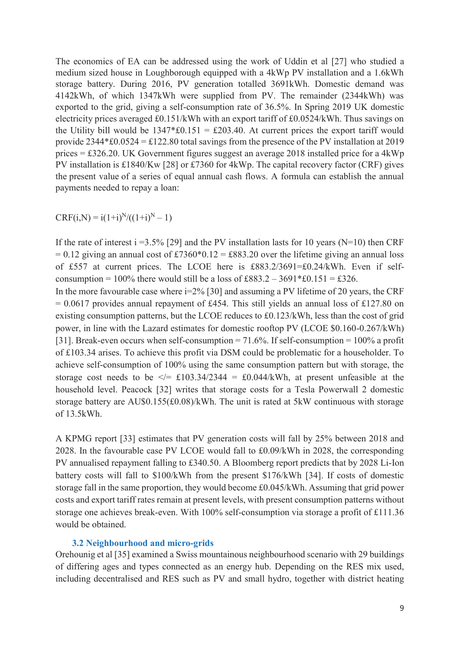The economics of EA can be addressed using the work of Uddin et al [27] who studied a medium sized house in Loughborough equipped with a 4kWp PV installation and a 1.6kWh storage battery. During 2016, PV generation totalled 3691kWh. Domestic demand was 4142kWh, of which 1347kWh were supplied from PV. The remainder (2344kWh) was exported to the grid, giving a self-consumption rate of 36.5%. In Spring 2019 UK domestic electricity prices averaged £0.151/kWh with an export tariff of £0.0524/kWh. Thus savings on the Utility bill would be  $1347 * £0.151 = £203.40$ . At current prices the export tariff would provide  $2344*0.0524 = \text{\textsterling}122.80$  total savings from the presence of the PV installation at 2019 prices  $= \text{\pounds}326.20$ . UK Government figures suggest an average 2018 installed price for a 4kWp PV installation is £1840/Kw [28] or £7360 for 4kWp. The capital recovery factor (CRF) gives the present value of a series of equal annual cash flows. A formula can establish the annual payments needed to repay a loan:

# $CRF(i,N) = i(1+i)^N/((1+i)^N - 1)$

If the rate of interest  $i = 3.5\%$  [29] and the PV installation lasts for 10 years (N=10) then CRF  $= 0.12$  giving an annual cost of £7360\*0.12 = £883.20 over the lifetime giving an annual loss of £557 at current prices. The LCOE here is £883.2/3691=£0.24/kWh. Even if selfconsumption =  $100\%$  there would still be a loss of £883.2 – 3691\*£0.151 = £326.

In the more favourable case where  $i=2\%$  [30] and assuming a PV lifetime of 20 years, the CRF  $= 0.0617$  provides annual repayment of £454. This still yields an annual loss of £127.80 on existing consumption patterns, but the LCOE reduces to £0.123/kWh, less than the cost of grid power, in line with the Lazard estimates for domestic rooftop PV (LCOE \$0.160-0.267/kWh) [31]. Break-even occurs when self-consumption =  $71.6\%$ . If self-consumption =  $100\%$  a profit of £103.34 arises. To achieve this profit via DSM could be problematic for a householder. To achieve self-consumption of 100% using the same consumption pattern but with storage, the storage cost needs to be  $\leq$  £103.34/2344 = £0.044/kWh, at present unfeasible at the household level. Peacock [32] writes that storage costs for a Tesla Powerwall 2 domestic storage battery are AU\$0.155(£0.08)/kWh. The unit is rated at 5kW continuous with storage of 13.5kWh.

A KPMG report [33] estimates that PV generation costs will fall by 25% between 2018 and 2028. In the favourable case PV LCOE would fall to £0.09/kWh in 2028, the corresponding PV annualised repayment falling to £340.50. A Bloomberg report predicts that by 2028 Li-Ion battery costs will fall to \$100/kWh from the present \$176/kWh [34]. If costs of domestic storage fall in the same proportion, they would become £0.045/kWh. Assuming that grid power costs and export tariff rates remain at present levels, with present consumption patterns without storage one achieves break-even. With 100% self-consumption via storage a profit of £111.36 would be obtained.

#### **3.2 Neighbourhood and micro-grids**

Orehounig et al [35] examined a Swiss mountainous neighbourhood scenario with 29 buildings of differing ages and types connected as an energy hub. Depending on the RES mix used, including decentralised and RES such as PV and small hydro, together with district heating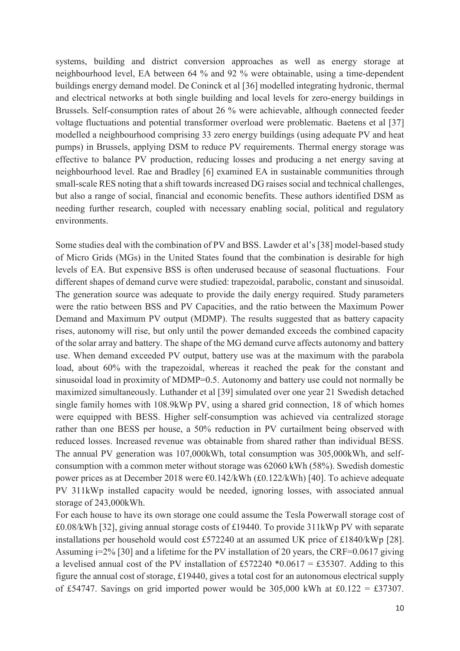systems, building and district conversion approaches as well as energy storage at neighbourhood level, EA between 64 % and 92 % were obtainable, using a time-dependent buildings energy demand model. De Coninck et al [36] modelled integrating hydronic, thermal and electrical networks at both single building and local levels for zero-energy buildings in Brussels. Self-consumption rates of about 26 % were achievable, although connected feeder voltage fluctuations and potential transformer overload were problematic. Baetens et al [37] modelled a neighbourhood comprising 33 zero energy buildings (using adequate PV and heat pumps) in Brussels, applying DSM to reduce PV requirements. Thermal energy storage was effective to balance PV production, reducing losses and producing a net energy saving at neighbourhood level. Rae and Bradley [6] examined EA in sustainable communities through small-scale RES noting that a shift towards increased DG raises social and technical challenges, but also a range of social, financial and economic benefits. These authors identified DSM as needing further research, coupled with necessary enabling social, political and regulatory environments.

Some studies deal with the combination of PV and BSS. Lawder et al's [38] model-based study of Micro Grids (MGs) in the United States found that the combination is desirable for high levels of EA. But expensive BSS is often underused because of seasonal fluctuations. Four different shapes of demand curve were studied: trapezoidal, parabolic, constant and sinusoidal. The generation source was adequate to provide the daily energy required. Study parameters were the ratio between BSS and PV Capacities, and the ratio between the Maximum Power Demand and Maximum PV output (MDMP). The results suggested that as battery capacity rises, autonomy will rise, but only until the power demanded exceeds the combined capacity of the solar array and battery. The shape of the MG demand curve affects autonomy and battery use. When demand exceeded PV output, battery use was at the maximum with the parabola load, about 60% with the trapezoidal, whereas it reached the peak for the constant and sinusoidal load in proximity of MDMP=0.5. Autonomy and battery use could not normally be maximized simultaneously. Luthander et al [39] simulated over one year 21 Swedish detached single family homes with 108.9kWp PV, using a shared grid connection, 18 of which homes were equipped with BESS. Higher self-consumption was achieved via centralized storage rather than one BESS per house, a 50% reduction in PV curtailment being observed with reduced losses. Increased revenue was obtainable from shared rather than individual BESS. The annual PV generation was 107,000kWh, total consumption was 305,000kWh, and selfconsumption with a common meter without storage was 62060 kWh (58%). Swedish domestic power prices as at December 2018 were €0.142/kWh (£0.122/kWh) [40]. To achieve adequate PV 311kWp installed capacity would be needed, ignoring losses, with associated annual storage of 243,000kWh.

For each house to have its own storage one could assume the Tesla Powerwall storage cost of £0.08/kWh [32], giving annual storage costs of £19440. To provide 311kWp PV with separate installations per household would cost £572240 at an assumed UK price of £1840/kWp [28]. Assuming i=2% [30] and a lifetime for the PV installation of 20 years, the CRF=0.0617 giving a levelised annual cost of the PV installation of £572240  $*0.0617 = \text{\textsterling}35307$ . Adding to this figure the annual cost of storage, £19440, gives a total cost for an autonomous electrical supply of £54747. Savings on grid imported power would be  $305,000$  kWh at £0.122 = £37307.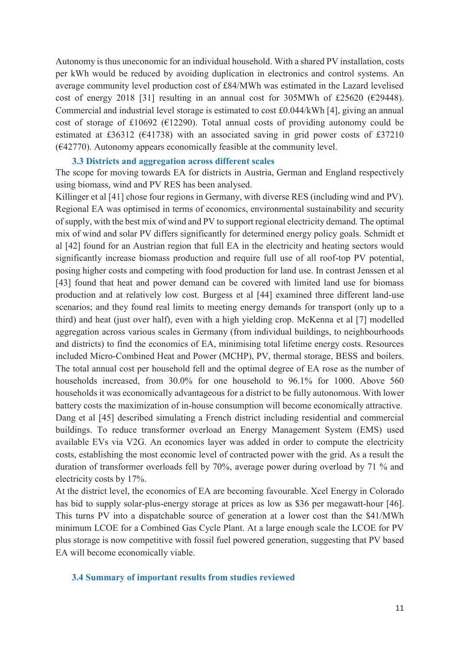Autonomy is thus uneconomic for an individual household. With a shared PV installation, costs per kWh would be reduced by avoiding duplication in electronics and control systems. An average community level production cost of £84/MWh was estimated in the Lazard levelised cost of energy 2018 [31] resulting in an annual cost for 305MWh of £25620 ( $\epsilon$ 29448). Commercial and industrial level storage is estimated to cost £0.044/kWh [4], giving an annual cost of storage of £10692 ( $E$ 12290). Total annual costs of providing autonomy could be estimated at £36312 ( $E$ 41738) with an associated saving in grid power costs of £37210  $(642770)$ . Autonomy appears economically feasible at the community level.

#### **3.3 Districts and aggregation across different scales**

The scope for moving towards EA for districts in Austria, German and England respectively using biomass, wind and PV RES has been analysed.

Killinger et al [41] chose four regions in Germany, with diverse RES (including wind and PV). Regional EA was optimised in terms of economics, environmental sustainability and security of supply, with the best mix of wind and PV to support regional electricity demand. The optimal mix of wind and solar PV differs significantly for determined energy policy goals. Schmidt et al [42] found for an Austrian region that full EA in the electricity and heating sectors would significantly increase biomass production and require full use of all roof-top PV potential, posing higher costs and competing with food production for land use. In contrast Jenssen et al [43] found that heat and power demand can be covered with limited land use for biomass production and at relatively low cost. Burgess et al [44] examined three different land-use scenarios; and they found real limits to meeting energy demands for transport (only up to a third) and heat (just over half), even with a high yielding crop. McKenna et al [7] modelled aggregation across various scales in Germany (from individual buildings, to neighbourhoods and districts) to find the economics of EA, minimising total lifetime energy costs. Resources included Micro-Combined Heat and Power (MCHP), PV, thermal storage, BESS and boilers. The total annual cost per household fell and the optimal degree of EA rose as the number of households increased, from 30.0% for one household to 96.1% for 1000. Above 560 households it was economically advantageous for a district to be fully autonomous. With lower battery costs the maximization of in-house consumption will become economically attractive. Dang et al [45] described simulating a French district including residential and commercial buildings. To reduce transformer overload an Energy Management System (EMS) used available EVs via V2G. An economics layer was added in order to compute the electricity costs, establishing the most economic level of contracted power with the grid. As a result the duration of transformer overloads fell by 70%, average power during overload by 71 % and electricity costs by 17%.

At the district level, the economics of EA are becoming favourable. Xcel Energy in Colorado has bid to supply solar-plus-energy storage at prices as low as \$36 per megawatt-hour [46]. This turns PV into a dispatchable source of generation at a lower cost than the \$41/MWh minimum LCOE for a Combined Gas Cycle Plant. At a large enough scale the LCOE for PV plus storage is now competitive with fossil fuel powered generation, suggesting that PV based EA will become economically viable.

#### **3.4 Summary of important results from studies reviewed**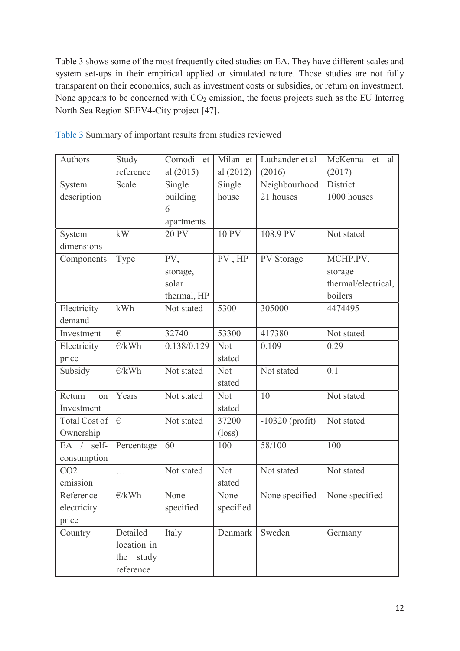Table 3 shows some of the most frequently cited studies on EA. They have different scales and system set-ups in their empirical applied or simulated nature. Those studies are not fully transparent on their economics, such as investment costs or subsidies, or return on investment. None appears to be concerned with CO<sub>2</sub> emission, the focus projects such as the EU Interreg North Sea Region SEEV4-City project [47].

| Authors              | Study        | Comodi et    | Milan et        | Luthander et al   | McKenna<br>et<br>al |  |
|----------------------|--------------|--------------|-----------------|-------------------|---------------------|--|
|                      | reference    | al (2015)    | al $(2012)$     | (2016)            | (2017)              |  |
| System               | Scale        | Single       | Single          | Neighbourhood     | District            |  |
| description          |              | building     | house           | 21 houses         | 1000 houses         |  |
|                      |              | 6            |                 |                   |                     |  |
|                      |              | apartments   |                 |                   |                     |  |
| System               | kW           | <b>20 PV</b> | 10 PV           | 108.9 PV          | Not stated          |  |
| dimensions           |              |              |                 |                   |                     |  |
| Components           | Type         | PV,          | PV, HP          | PV Storage        | MCHP,PV,            |  |
|                      |              | storage,     |                 |                   | storage             |  |
|                      |              | solar        |                 |                   | thermal/electrical, |  |
|                      |              | thermal, HP  |                 |                   | boilers             |  |
| Electricity          | kWh          | Not stated   | 5300            | 305000            | 4474495             |  |
| demand               |              |              |                 |                   |                     |  |
| Investment           | €            | 32740        | 53300           | 417380            | Not stated          |  |
| Electricity          | E/kWh        | 0.138/0.129  | Not             | 0.109             | 0.29                |  |
| price                |              |              | stated          |                   |                     |  |
| Subsidy              | E/kWh        | Not stated   | <b>Not</b>      | Not stated        | 0.1                 |  |
|                      |              |              | stated          |                   |                     |  |
| Return<br>on         | Years        | Not stated   | <b>Not</b>      | 10                | Not stated          |  |
| Investment           |              |              | stated          |                   |                     |  |
| <b>Total Cost of</b> | €            | Not stated   | 37200           | $-10320$ (profit) | Not stated          |  |
| Ownership            |              |              | $(\text{loss})$ |                   |                     |  |
| self-<br>$EA$ /      | Percentage   | 60           | 100             | 58/100            | 100                 |  |
| consumption          |              |              |                 |                   |                     |  |
| CO <sub>2</sub>      | .            | Not stated   | Not             | Not stated        | Not stated          |  |
| emission             |              |              | stated          |                   |                     |  |
| Reference            | E/kWh        | None         | None            | None specified    | None specified      |  |
| electricity          |              | specified    | specified       |                   |                     |  |
| price                |              |              |                 |                   |                     |  |
| Country              | Detailed     | Italy        | Denmark         | Sweden            | Germany             |  |
|                      | location in  |              |                 |                   |                     |  |
|                      | study<br>the |              |                 |                   |                     |  |
|                      | reference    |              |                 |                   |                     |  |

Table 3 Summary of important results from studies reviewed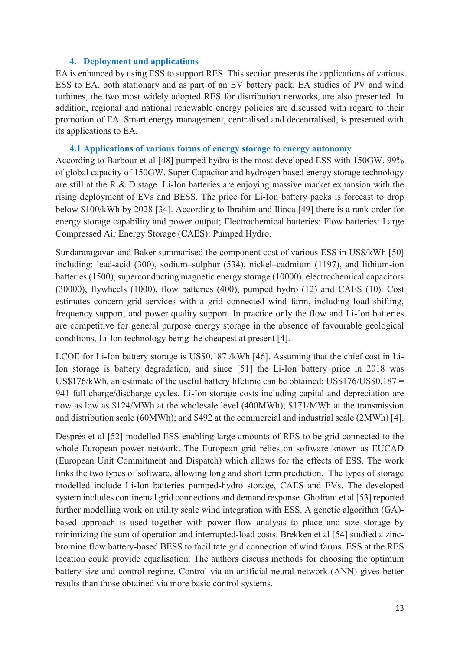#### **4. Deployment and applications**

EA is enhanced by using ESS to support RES. This section presents the applications of various ESS to EA, both stationary and as part of an EV battery pack. EA studies of PV and wind turbines, the two most widely adopted RES for distribution networks, are also presented. In addition, regional and national renewable energy policies are discussed with regard to their promotion of EA. Smart energy management, centralised and decentralised, is presented with its applications to EA.

#### **4.1 Applications of various forms of energy storage to energy autonomy**

According to Barbour et al [48] pumped hydro is the most developed ESS with 150GW, 99% of global capacity of 150GW. Super Capacitor and hydrogen based energy storage technology are still at the R & D stage. Li-Ion batteries are enjoying massive market expansion with the rising deployment of EVs and BESS. The price for Li-Ion battery packs is forecast to drop below \$100/kWh by 2028 [34]. According to Ibrahim and Ilinca [49] there is a rank order for energy storage capability and power output; Electrochemical batteries: Flow batteries: Large Compressed Air Energy Storage (CAES): Pumped Hydro.

Sundararagavan and Baker summarised the component cost of various ESS in US\$/kWh [50] including: lead-acid (300), sodium–sulphur (534), nickel–cadmium (1197), and lithium-ion batteries (1500), superconducting magnetic energy storage (10000), electrochemical capacitors (30000), flywheels (1000), flow batteries (400), pumped hydro (12) and CAES (10). Cost estimates concern grid services with a grid connected wind farm, including load shifting, frequency support, and power quality support. In practice only the flow and Li-Ion batteries are competitive for general purpose energy storage in the absence of favourable geological conditions, Li-Ion technology being the cheapest at present [4].

LCOE for Li-Ion battery storage is US\$0.187 /kWh [46]. Assuming that the chief cost in Li-Ion storage is battery degradation, and since [51] the Li-Ion battery price in 2018 was US\$176/kWh, an estimate of the useful battery lifetime can be obtained: US\$176/US\$0.187 = 941 full charge/discharge cycles. Li-Ion storage costs including capital and depreciation are now as low as \$124/MWh at the wholesale level (400MWh); \$171/MWh at the transmission and distribution scale (60MWh); and \$492 at the commercial and industrial scale (2MWh) [4].

Després et al [52] modelled ESS enabling large amounts of RES to be grid connected to the whole European power network. The European grid relies on software known as EUCAD (European Unit Commitment and Dispatch) which allows for the effects of ESS. The work links the two types of software, allowing long and short term prediction. The types of storage modelled include Li-Ion batteries pumped-hydro storage, CAES and EVs. The developed system includes continental grid connections and demand response. Ghofrani et al [53] reported further modelling work on utility scale wind integration with ESS. A genetic algorithm (GA) based approach is used together with power flow analysis to place and size storage by minimizing the sum of operation and interrupted-load costs. Brekken et al [54] studied a zincbromine flow battery-based BESS to facilitate grid connection of wind farms. ESS at the RES location could provide equalisation. The authors discuss methods for choosing the optimum battery size and control regime. Control via an artificial neural network (ANN) gives better results than those obtained via more basic control systems.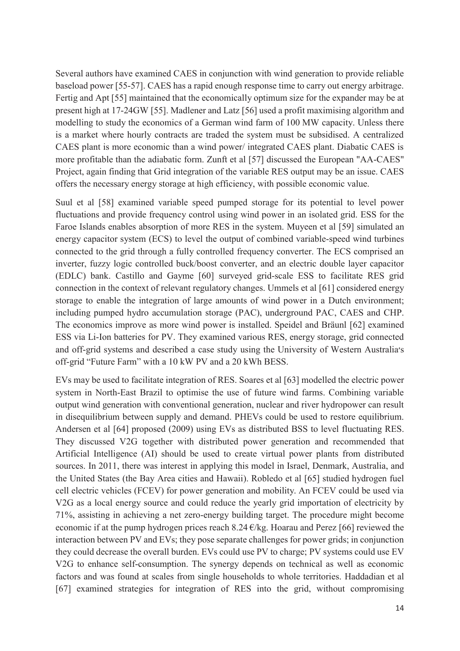Several authors have examined CAES in conjunction with wind generation to provide reliable baseload power [55-57]. CAES has a rapid enough response time to carry out energy arbitrage. Fertig and Apt [55] maintained that the economically optimum size for the expander may be at present high at 17-24GW [55]. Madlener and Latz [56] used a profit maximising algorithm and modelling to study the economics of a German wind farm of 100 MW capacity. Unless there is a market where hourly contracts are traded the system must be subsidised. A centralized CAES plant is more economic than a wind power/ integrated CAES plant. Diabatic CAES is more profitable than the adiabatic form. Zunft et al [57] discussed the European "AA-CAES" Project, again finding that Grid integration of the variable RES output may be an issue. CAES offers the necessary energy storage at high efficiency, with possible economic value.

Suul et al [58] examined variable speed pumped storage for its potential to level power fluctuations and provide frequency control using wind power in an isolated grid. ESS for the Faroe Islands enables absorption of more RES in the system. Muyeen et al [59] simulated an energy capacitor system (ECS) to level the output of combined variable-speed wind turbines connected to the grid through a fully controlled frequency converter. The ECS comprised an inverter, fuzzy logic controlled buck/boost converter, and an electric double layer capacitor (EDLC) bank. Castillo and Gayme [60] surveyed grid-scale ESS to facilitate RES grid connection in the context of relevant regulatory changes. Ummels et al [61] considered energy storage to enable the integration of large amounts of wind power in a Dutch environment; including pumped hydro accumulation storage (PAC), underground PAC, CAES and CHP. The economics improve as more wind power is installed. Speidel and Bräunl [62] examined ESS via Li-Ion batteries for PV. They examined various RES, energy storage, grid connected and off-grid systems and described a case study using the University of Western Australia׳s off-grid "Future Farm" with a 10 kW PV and a 20 kWh BESS.

EVs may be used to facilitate integration of RES. Soares et al [63] modelled the electric power system in North-East Brazil to optimise the use of future wind farms. Combining variable output wind generation with conventional generation, nuclear and river hydropower can result in disequilibrium between supply and demand. PHEVs could be used to restore equilibrium. Andersen et al [64] proposed (2009) using EVs as distributed BSS to level fluctuating RES. They discussed V2G together with distributed power generation and recommended that Artificial Intelligence (AI) should be used to create virtual power plants from distributed sources. In 2011, there was interest in applying this model in Israel, Denmark, Australia, and the United States (the Bay Area cities and Hawaii). Robledo et al [65] studied hydrogen fuel cell electric vehicles (FCEV) for power generation and mobility. An FCEV could be used via V2G as a local energy source and could reduce the yearly grid importation of electricity by 71%, assisting in achieving a net zero-energy building target. The procedure might become economic if at the pump hydrogen prices reach  $8.24 \, \epsilon$ /kg. Hoarau and Perez [66] reviewed the interaction between PV and EVs; they pose separate challenges for power grids; in conjunction they could decrease the overall burden. EVs could use PV to charge; PV systems could use EV V2G to enhance self-consumption. The synergy depends on technical as well as economic factors and was found at scales from single households to whole territories. Haddadian et al [67] examined strategies for integration of RES into the grid, without compromising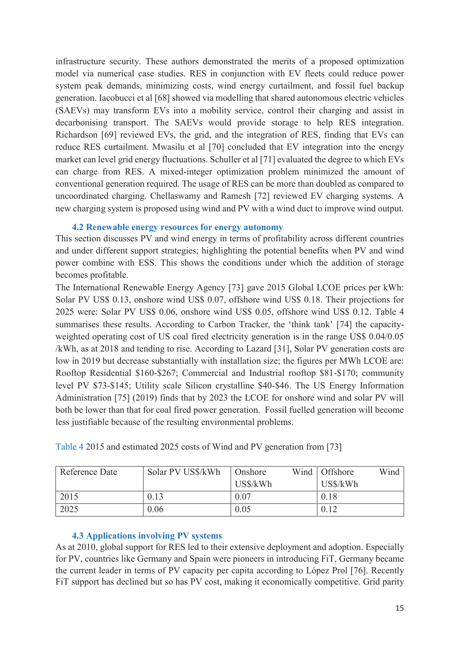infrastructure security. These authors demonstrated the merits of a proposed optimization model via numerical case studies. RES in conjunction with EV fleets could reduce power system peak demands, minimizing costs, wind energy curtailment, and fossil fuel backup generation. Iacobucci et al [68] showed via modelling that shared autonomous electric vehicles (SAEVs) may transform EVs into a mobility service, control their charging and assist in decarbonising transport. The SAEVs would provide storage to help RES integration. Richardson [69] reviewed EVs, the grid, and the integration of RES, finding that EVs can reduce RES curtailment. Mwasilu et al [70] concluded that EV integration into the energy market can level grid energy fluctuations. Schuller et al [71] evaluated the degree to which EVs can charge from RES. A mixed-integer optimization problem minimized the amount of conventional generation required. The usage of RES can be more than doubled as compared to uncoordinated charging. Chellaswamy and Ramesh [72] reviewed EV charging systems. A new charging system is proposed using wind and PV with a wind duct to improve wind output.

### **4.2 Renewable energy resources for energy autonomy**

This section discusses PV and wind energy in terms of profitability across different countries and under different support strategies; highlighting the potential benefits when PV and wind power combine with ESS. This shows the conditions under which the addition of storage becomes profitable.

The International Renewable Energy Agency [73] gave 2015 Global LCOE prices per kWh: Solar PV US\$ 0.13, onshore wind US\$ 0.07, offshore wind US\$ 0.18. Their projections for 2025 were: Solar PV US\$ 0.06, onshore wind US\$ 0.05, offshore wind US\$ 0.12. Table 4 summarises these results. According to Carbon Tracker, the 'think tank' [74] the capacityweighted operating cost of US coal fired electricity generation is in the range US\$ 0.04/0.05 /kWh, as at 2018 and tending to rise. According to Lazard [31], Solar PV generation costs are low in 2019 but decrease substantially with installation size; the figures per MWh LCOE are: Rooftop Residential \$160-\$267; Commercial and Industrial rooftop \$81-\$170; community level PV \$73-\$145; Utility scale Silicon crystalline \$40-\$46. The US Energy Information Administration [75] (2019) finds that by 2023 the LCOE for onshore wind and solar PV will both be lower than that for coal fired power generation. Fossil fuelled generation will become less justifiable because of the resulting environmental problems.

| Reference Date | Solar PV US\$/kWh | Onshore  | Wind   Offshore | Wind |
|----------------|-------------------|----------|-----------------|------|
|                |                   | US\$/kWh | US\$/kWh        |      |
| 2015           | 0.13              | 0.07     | 0.18            |      |
| 2025           | 0.06              | 0.05     | 0.12            |      |

Table 4 2015 and estimated 2025 costs of Wind and PV generation from [73]

## **4.3 Applications involving PV systems**

As at 2010, global support for RES led to their extensive deployment and adoption. Especially for PV, countries like Germany and Spain were pioneers in introducing FiT, Germany became the current leader in terms of PV capacity per capita according to López Prol [76]. Recently FiT support has declined but so has PV cost, making it economically competitive. Grid parity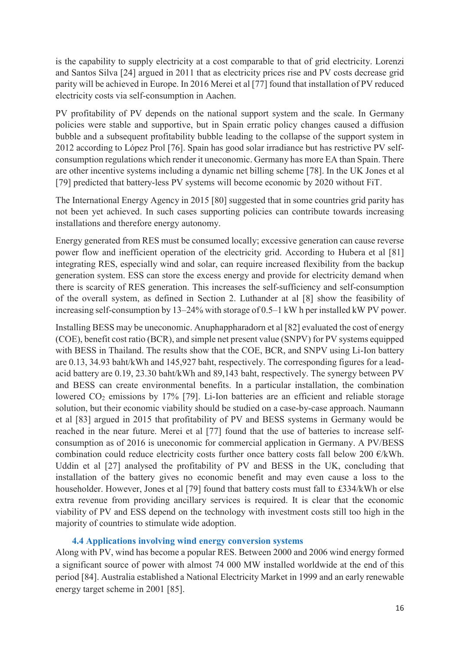is the capability to supply electricity at a cost comparable to that of grid electricity. Lorenzi and Santos Silva [24] argued in 2011 that as electricity prices rise and PV costs decrease grid parity will be achieved in Europe. In 2016 Merei et al [77] found that installation of PV reduced electricity costs via self-consumption in Aachen.

PV profitability of PV depends on the national support system and the scale. In Germany policies were stable and supportive, but in Spain erratic policy changes caused a diffusion bubble and a subsequent profitability bubble leading to the collapse of the support system in 2012 according to López Prol [76]. Spain has good solar irradiance but has restrictive PV selfconsumption regulations which render it uneconomic. Germany has more EA than Spain. There are other incentive systems including a dynamic net billing scheme [78]. In the UK Jones et al [79] predicted that battery-less PV systems will become economic by 2020 without FiT.

The International Energy Agency in 2015 [80] suggested that in some countries grid parity has not been yet achieved. In such cases supporting policies can contribute towards increasing installations and therefore energy autonomy.

Energy generated from RES must be consumed locally; excessive generation can cause reverse power flow and inefficient operation of the electricity grid. According to Hubera et al [81] integrating RES, especially wind and solar, can require increased flexibility from the backup generation system. ESS can store the excess energy and provide for electricity demand when there is scarcity of RES generation. This increases the self-sufficiency and self-consumption of the overall system, as defined in Section 2. Luthander at al [8] show the feasibility of increasing self-consumption by 13–24% with storage of 0.5–1 kW h per installed kW PV power.

Installing BESS may be uneconomic. Anuphappharadorn et al [82] evaluated the cost of energy (COE), benefit cost ratio (BCR), and simple net present value (SNPV) for PV systems equipped with BESS in Thailand. The results show that the COE, BCR, and SNPV using Li-Ion battery are 0.13, 34.93 baht/kWh and 145,927 baht, respectively. The corresponding figures for a leadacid battery are 0.19, 23.30 baht/kWh and 89,143 baht, respectively. The synergy between PV and BESS can create environmental benefits. In a particular installation, the combination lowered  $CO<sub>2</sub>$  emissions by 17% [79]. Li-Ion batteries are an efficient and reliable storage solution, but their economic viability should be studied on a case-by-case approach. Naumann et al [83] argued in 2015 that profitability of PV and BESS systems in Germany would be reached in the near future. Merei et al [77] found that the use of batteries to increase selfconsumption as of 2016 is uneconomic for commercial application in Germany. A PV/BESS combination could reduce electricity costs further once battery costs fall below 200  $\epsilon$ /kWh. Uddin et al [27] analysed the profitability of PV and BESS in the UK, concluding that installation of the battery gives no economic benefit and may even cause a loss to the householder. However, Jones et al [79] found that battery costs must fall to £334/kWh or else extra revenue from providing ancillary services is required. It is clear that the economic viability of PV and ESS depend on the technology with investment costs still too high in the majority of countries to stimulate wide adoption.

#### **4.4 Applications involving wind energy conversion systems**

Along with PV, wind has become a popular RES. Between 2000 and 2006 wind energy formed a significant source of power with almost 74 000 MW installed worldwide at the end of this period [84]. Australia established a National Electricity Market in 1999 and an early renewable energy target scheme in 2001 [85].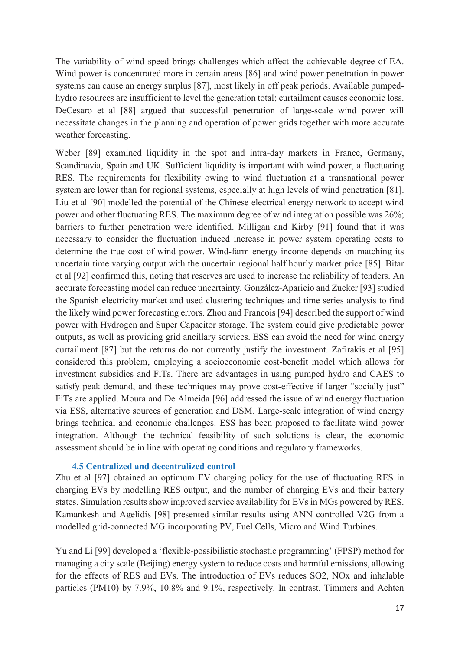The variability of wind speed brings challenges which affect the achievable degree of EA. Wind power is concentrated more in certain areas [86] and wind power penetration in power systems can cause an energy surplus [87], most likely in off peak periods. Available pumpedhydro resources are insufficient to level the generation total; curtailment causes economic loss. DeCesaro et al [88] argued that successful penetration of large-scale wind power will necessitate changes in the planning and operation of power grids together with more accurate weather forecasting.

Weber [89] examined liquidity in the spot and intra-day markets in France, Germany, Scandinavia, Spain and UK. Sufficient liquidity is important with wind power, a fluctuating RES. The requirements for flexibility owing to wind fluctuation at a transnational power system are lower than for regional systems, especially at high levels of wind penetration [81]. Liu et al [90] modelled the potential of the Chinese electrical energy network to accept wind power and other fluctuating RES. The maximum degree of wind integration possible was 26%; barriers to further penetration were identified. Milligan and Kirby [91] found that it was necessary to consider the fluctuation induced increase in power system operating costs to determine the true cost of wind power. Wind-farm energy income depends on matching its uncertain time varying output with the uncertain regional half hourly market price [85]. Bitar et al [92] confirmed this, noting that reserves are used to increase the reliability of tenders. An accurate forecasting model can reduce uncertainty. González-Aparicio and Zucker [93] studied the Spanish electricity market and used clustering techniques and time series analysis to find the likely wind power forecasting errors. Zhou and Francois [94] described the support of wind power with Hydrogen and Super Capacitor storage. The system could give predictable power outputs, as well as providing grid ancillary services. ESS can avoid the need for wind energy curtailment [87] but the returns do not currently justify the investment. Zafirakis et al [95] considered this problem, employing a socioeconomic cost-benefit model which allows for investment subsidies and FiTs. There are advantages in using pumped hydro and CAES to satisfy peak demand, and these techniques may prove cost-effective if larger "socially just" FiTs are applied. Moura and De Almeida [96] addressed the issue of wind energy fluctuation via ESS, alternative sources of generation and DSM. Large-scale integration of wind energy brings technical and economic challenges. ESS has been proposed to facilitate wind power integration. Although the technical feasibility of such solutions is clear, the economic assessment should be in line with operating conditions and regulatory frameworks.

#### **4.5 Centralized and decentralized control**

Zhu et al [97] obtained an optimum EV charging policy for the use of fluctuating RES in charging EVs by modelling RES output, and the number of charging EVs and their battery states. Simulation results show improved service availability for EVs in MGs powered by RES. Kamankesh and Agelidis [98] presented similar results using ANN controlled V2G from a modelled grid-connected MG incorporating PV, Fuel Cells, Micro and Wind Turbines.

Yu and Li [99] developed a 'flexible-possibilistic stochastic programming' (FPSP) method for managing a city scale (Beijing) energy system to reduce costs and harmful emissions, allowing for the effects of RES and EVs. The introduction of EVs reduces SO2, NOx and inhalable particles (PM10) by 7.9%, 10.8% and 9.1%, respectively. In contrast, Timmers and Achten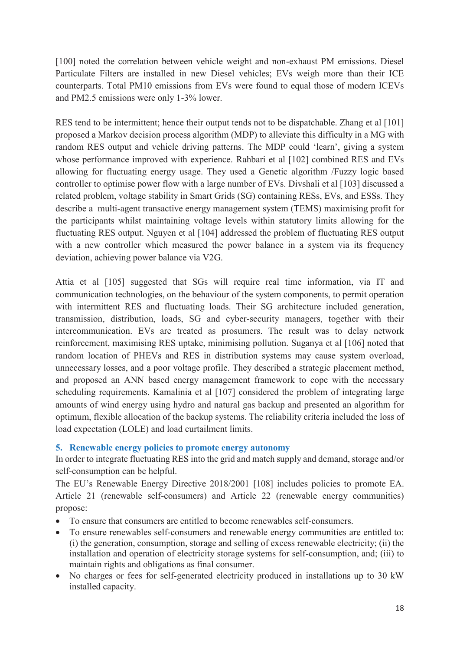[100] noted the correlation between vehicle weight and non-exhaust PM emissions. Diesel Particulate Filters are installed in new Diesel vehicles; EVs weigh more than their ICE counterparts. Total PM10 emissions from EVs were found to equal those of modern ICEVs and PM2.5 emissions were only 1-3% lower.

RES tend to be intermittent; hence their output tends not to be dispatchable. Zhang et al [101] proposed a Markov decision process algorithm (MDP) to alleviate this difficulty in a MG with random RES output and vehicle driving patterns. The MDP could 'learn', giving a system whose performance improved with experience. Rahbari et al [102] combined RES and EVs allowing for fluctuating energy usage. They used a Genetic algorithm /Fuzzy logic based controller to optimise power flow with a large number of EVs. Divshali et al [103] discussed a related problem, voltage stability in Smart Grids (SG) containing RESs, EVs, and ESSs. They describe a multi-agent transactive energy management system (TEMS) maximising profit for the participants whilst maintaining voltage levels within statutory limits allowing for the fluctuating RES output. Nguyen et al [104] addressed the problem of fluctuating RES output with a new controller which measured the power balance in a system via its frequency deviation, achieving power balance via V2G.

Attia et al [105] suggested that SGs will require real time information, via IT and communication technologies, on the behaviour of the system components, to permit operation with intermittent RES and fluctuating loads. Their SG architecture included generation, transmission, distribution, loads, SG and cyber-security managers, together with their intercommunication. EVs are treated as prosumers. The result was to delay network reinforcement, maximising RES uptake, minimising pollution. Suganya et al [106] noted that random location of PHEVs and RES in distribution systems may cause system overload, unnecessary losses, and a poor voltage profile. They described a strategic placement method, and proposed an ANN based energy management framework to cope with the necessary scheduling requirements. Kamalinia et al [107] considered the problem of integrating large amounts of wind energy using hydro and natural gas backup and presented an algorithm for optimum, flexible allocation of the backup systems. The reliability criteria included the loss of load expectation (LOLE) and load curtailment limits.

## **5. Renewable energy policies to promote energy autonomy**

In order to integrate fluctuating RES into the grid and match supply and demand, storage and/or self-consumption can be helpful.

The EU's Renewable Energy Directive 2018/2001 [108] includes policies to promote EA. Article 21 (renewable self-consumers) and Article 22 (renewable energy communities) propose:

- x To ensure that consumers are entitled to become renewables self-consumers.
- x To ensure renewables self-consumers and renewable energy communities are entitled to: (i) the generation, consumption, storage and selling of excess renewable electricity; (ii) the installation and operation of electricity storage systems for self-consumption, and; (iii) to maintain rights and obligations as final consumer.
- No charges or fees for self-generated electricity produced in installations up to 30 kW installed capacity.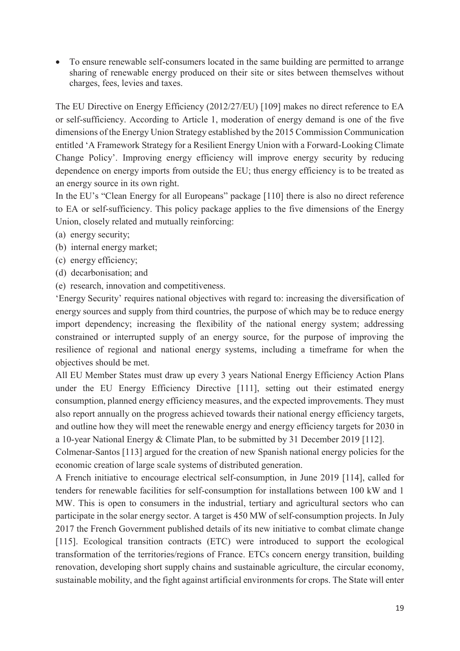• To ensure renewable self-consumers located in the same building are permitted to arrange sharing of renewable energy produced on their site or sites between themselves without charges, fees, levies and taxes.

The EU Directive on Energy Efficiency (2012/27/EU) [109] makes no direct reference to EA or self-sufficiency. According to Article 1, moderation of energy demand is one of the five dimensions of the Energy Union Strategy established by the 2015 Commission Communication entitled 'A Framework Strategy for a Resilient Energy Union with a Forward-Looking Climate Change Policy'. Improving energy efficiency will improve energy security by reducing dependence on energy imports from outside the EU; thus energy efficiency is to be treated as an energy source in its own right.

In the EU's "Clean Energy for all Europeans" package [110] there is also no direct reference to EA or self-sufficiency. This policy package applies to the five dimensions of the Energy Union, closely related and mutually reinforcing:

- (a) energy security;
- (b) internal energy market;
- (c) energy efficiency;
- (d) decarbonisation; and
- (e) research, innovation and competitiveness.

'Energy Security' requires national objectives with regard to: increasing the diversification of energy sources and supply from third countries, the purpose of which may be to reduce energy import dependency; increasing the flexibility of the national energy system; addressing constrained or interrupted supply of an energy source, for the purpose of improving the resilience of regional and national energy systems, including a timeframe for when the objectives should be met.

All EU Member States must draw up every 3 years National Energy Efficiency Action Plans under the EU Energy Efficiency Directive [111], setting out their estimated energy consumption, planned energy efficiency measures, and the expected improvements. They must also report annually on the progress achieved towards their national energy efficiency targets, and outline how they will meet the renewable energy and energy efficiency targets for 2030 in a 10-year National Energy & Climate Plan, to be submitted by 31 December 2019 [112].

Colmenar-Santos [113] argued for the creation of new Spanish national energy policies for the economic creation of large scale systems of distributed generation.

A French initiative to encourage electrical self-consumption, in June 2019 [114], called for tenders for renewable facilities for self-consumption for installations between 100 kW and 1 MW. This is open to consumers in the industrial, tertiary and agricultural sectors who can participate in the solar energy sector. A target is 450 MW of self-consumption projects. In July 2017 the French Government published details of its new initiative to combat climate change [115]. Ecological transition contracts (ETC) were introduced to support the ecological transformation of the territories/regions of France. ETCs concern energy transition, building renovation, developing short supply chains and sustainable agriculture, the circular economy, sustainable mobility, and the fight against artificial environments for crops. The State will enter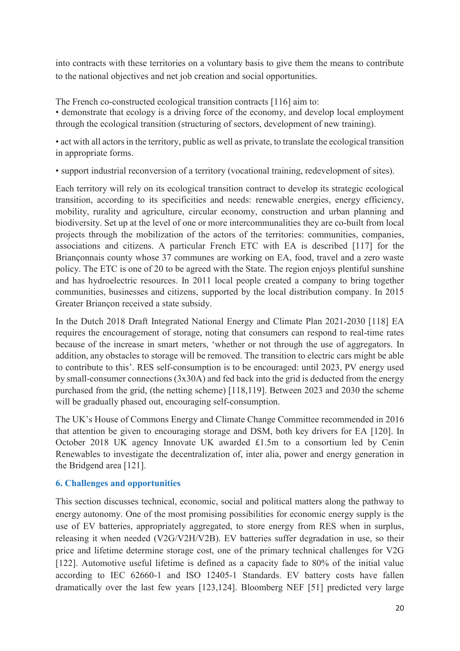into contracts with these territories on a voluntary basis to give them the means to contribute to the national objectives and net job creation and social opportunities.

The French co-constructed ecological transition contracts [116] aim to: • demonstrate that ecology is a driving force of the economy, and develop local employment through the ecological transition (structuring of sectors, development of new training).

• act with all actors in the territory, public as well as private, to translate the ecological transition in appropriate forms.

• support industrial reconversion of a territory (vocational training, redevelopment of sites).

Each territory will rely on its ecological transition contract to develop its strategic ecological transition, according to its specificities and needs: renewable energies, energy efficiency, mobility, rurality and agriculture, circular economy, construction and urban planning and biodiversity. Set up at the level of one or more intercommunalities they are co-built from local projects through the mobilization of the actors of the territories: communities, companies, associations and citizens. A particular French ETC with EA is described [117] for the Briançonnais county whose 37 communes are working on EA, food, travel and a zero waste policy. The ETC is one of 20 to be agreed with the State. The region enjoys plentiful sunshine and has hydroelectric resources. In 2011 local people created a company to bring together communities, businesses and citizens, supported by the local distribution company. In 2015 Greater Briançon received a state subsidy.

In the Dutch 2018 Draft Integrated National Energy and Climate Plan 2021-2030 [118] EA requires the encouragement of storage, noting that consumers can respond to real-time rates because of the increase in smart meters, 'whether or not through the use of aggregators. In addition, any obstacles to storage will be removed. The transition to electric cars might be able to contribute to this'. RES self-consumption is to be encouraged: until 2023, PV energy used by small-consumer connections (3x30A) and fed back into the grid is deducted from the energy purchased from the grid, (the netting scheme) [118,119]. Between 2023 and 2030 the scheme will be gradually phased out, encouraging self-consumption.

The UK's House of Commons Energy and Climate Change Committee recommended in 2016 that attention be given to encouraging storage and DSM, both key drivers for EA [120]. In October 2018 UK agency Innovate UK awarded £1.5m to a consortium led by Cenin Renewables to investigate the decentralization of, inter alia, power and energy generation in the Bridgend area [121].

# **6. Challenges and opportunities**

This section discusses technical, economic, social and political matters along the pathway to energy autonomy. One of the most promising possibilities for economic energy supply is the use of EV batteries, appropriately aggregated, to store energy from RES when in surplus, releasing it when needed (V2G/V2H/V2B). EV batteries suffer degradation in use, so their price and lifetime determine storage cost, one of the primary technical challenges for V2G [122]. Automotive useful lifetime is defined as a capacity fade to 80% of the initial value according to IEC 62660-1 and ISO 12405-1 Standards. EV battery costs have fallen dramatically over the last few years [123,124]. Bloomberg NEF [51] predicted very large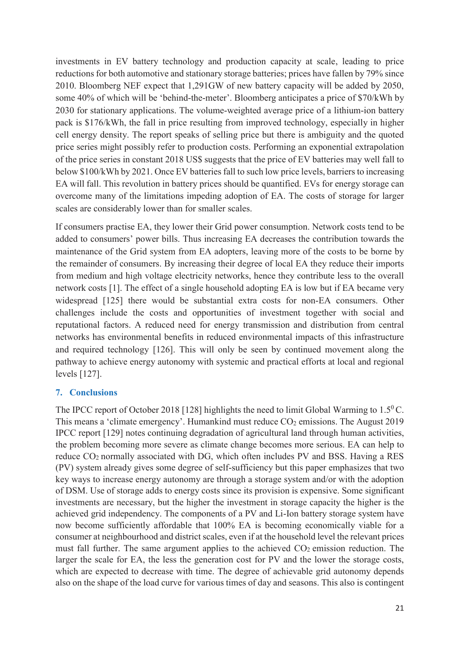investments in EV battery technology and production capacity at scale, leading to price reductions for both automotive and stationary storage batteries; prices have fallen by 79% since 2010. Bloomberg NEF expect that 1,291GW of new battery capacity will be added by 2050, some 40% of which will be 'behind-the-meter'. Bloomberg anticipates a price of \$70/kWh by 2030 for stationary applications. The volume-weighted average price of a lithium-ion battery pack is \$176/kWh, the fall in price resulting from improved technology, especially in higher cell energy density. The report speaks of selling price but there is ambiguity and the quoted price series might possibly refer to production costs. Performing an exponential extrapolation of the price series in constant 2018 US\$ suggests that the price of EV batteries may well fall to below \$100/kWh by 2021. Once EV batteries fall to such low price levels, barriers to increasing EA will fall. This revolution in battery prices should be quantified. EVs for energy storage can overcome many of the limitations impeding adoption of EA. The costs of storage for larger scales are considerably lower than for smaller scales.

If consumers practise EA, they lower their Grid power consumption. Network costs tend to be added to consumers' power bills. Thus increasing EA decreases the contribution towards the maintenance of the Grid system from EA adopters, leaving more of the costs to be borne by the remainder of consumers. By increasing their degree of local EA they reduce their imports from medium and high voltage electricity networks, hence they contribute less to the overall network costs [1]. The effect of a single household adopting EA is low but if EA became very widespread [125] there would be substantial extra costs for non-EA consumers. Other challenges include the costs and opportunities of investment together with social and reputational factors. A reduced need for energy transmission and distribution from central networks has environmental benefits in reduced environmental impacts of this infrastructure and required technology [126]. This will only be seen by continued movement along the pathway to achieve energy autonomy with systemic and practical efforts at local and regional levels [127].

## **7. Conclusions**

The IPCC report of October 2018 [128] highlights the need to limit Global Warming to  $1.5^{\circ}$ C. This means a 'climate emergency'. Humankind must reduce  $CO<sub>2</sub>$  emissions. The August 2019 IPCC report [129] notes continuing degradation of agricultural land through human activities, the problem becoming more severe as climate change becomes more serious. EA can help to reduce CO<sub>2</sub> normally associated with DG, which often includes PV and BSS. Having a RES (PV) system already gives some degree of self-sufficiency but this paper emphasizes that two key ways to increase energy autonomy are through a storage system and/or with the adoption of DSM. Use of storage adds to energy costs since its provision is expensive. Some significant investments are necessary, but the higher the investment in storage capacity the higher is the achieved grid independency. The components of a PV and Li-Ion battery storage system have now become sufficiently affordable that 100% EA is becoming economically viable for a consumer at neighbourhood and district scales, even if at the household level the relevant prices must fall further. The same argument applies to the achieved  $CO<sub>2</sub>$  emission reduction. The larger the scale for EA, the less the generation cost for PV and the lower the storage costs, which are expected to decrease with time. The degree of achievable grid autonomy depends also on the shape of the load curve for various times of day and seasons. This also is contingent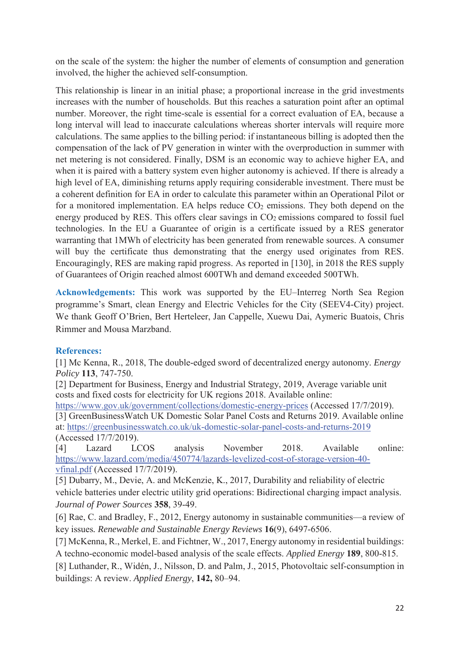on the scale of the system: the higher the number of elements of consumption and generation involved, the higher the achieved self-consumption.

This relationship is linear in an initial phase; a proportional increase in the grid investments increases with the number of households. But this reaches a saturation point after an optimal number. Moreover, the right time-scale is essential for a correct evaluation of EA, because a long interval will lead to inaccurate calculations whereas shorter intervals will require more calculations. The same applies to the billing period: if instantaneous billing is adopted then the compensation of the lack of PV generation in winter with the overproduction in summer with net metering is not considered. Finally, DSM is an economic way to achieve higher EA, and when it is paired with a battery system even higher autonomy is achieved. If there is already a high level of EA, diminishing returns apply requiring considerable investment. There must be a coherent definition for EA in order to calculate this parameter within an Operational Pilot or for a monitored implementation. EA helps reduce  $CO<sub>2</sub>$  emissions. They both depend on the energy produced by RES. This offers clear savings in  $CO<sub>2</sub>$  emissions compared to fossil fuel technologies. In the EU a Guarantee of origin is a certificate issued by a RES generator warranting that 1MWh of electricity has been generated from renewable sources. A consumer will buy the certificate thus demonstrating that the energy used originates from RES. Encouragingly, RES are making rapid progress. As reported in [130], in 2018 the RES supply of Guarantees of Origin reached almost 600TWh and demand exceeded 500TWh.

**Acknowledgements:** This work was supported by the EU–Interreg North Sea Region programme's Smart, clean Energy and Electric Vehicles for the City (SEEV4-City) project. We thank Geoff O'Brien, Bert Herteleer, Jan Cappelle, Xuewu Dai, Aymeric Buatois, Chris Rimmer and Mousa Marzband.

# **References:**

[1] Mc Kenna, R., 2018, The double-edged sword of decentralized energy autonomy. *Energy Policy* **113**, 747-750.

[2] Department for Business, Energy and Industrial Strategy, 2019, Average variable unit costs and fixed costs for electricity for UK regions 2018. Available online:

https://www.gov.uk/government/collections/domestic-energy-prices (Accessed 17/7/2019). [3] GreenBusinessWatch UK Domestic Solar Panel Costs and Returns 2019. Available online at: https://greenbusinesswatch.co.uk/uk-domestic-solar-panel-costs-and-returns-2019 (Accessed 17/7/2019).

[4] Lazard LCOS analysis November 2018. Available online: https://www.lazard.com/media/450774/lazards-levelized-cost-of-storage-version-40 vfinal.pdf (Accessed 17/7/2019).

[5] Dubarry, M., Devie, A. and McKenzie, K., 2017, Durability and reliability of electric vehicle batteries under electric utility grid operations: Bidirectional charging impact analysis. *Journal of Power Sources* **358**, 39-49.

[6] Rae, C. and Bradley, F., 2012, Energy autonomy in sustainable communities—a review of key issues*. Renewable and Sustainable Energy Reviews* **16**(9), 6497-6506.

[7] McKenna, R., Merkel, E. and Fichtner, W., 2017, Energy autonomy in residential buildings: A techno-economic model-based analysis of the scale effects. *Applied Energy* **189**, 800-815.

[8] Luthander, R., Widén, J., Nilsson, D. and Palm, J., 2015, Photovoltaic self-consumption in buildings: A review. *Applied Energy*, **142,** 80–94.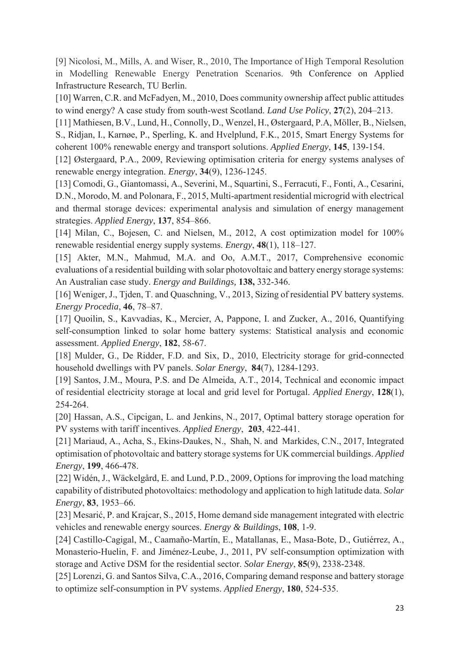[9] Nicolosi, M., Mills, A. and Wiser, R., 2010, The Importance of High Temporal Resolution in Modelling Renewable Energy Penetration Scenarios. 9th Conference on Applied Infrastructure Research, TU Berlin.

[10] Warren, C.R. and McFadyen, M., 2010, Does community ownership affect public attitudes to wind energy? A case study from south-west Scotland. *Land Use Policy*, **27**(2), 204–213.

[11] Mathiesen, B.V., Lund, H., Connolly, D., Wenzel, H., Østergaard, P.A, Möller, B., Nielsen, S., Ridjan, I., Karnøe, P., Sperling, K. and Hvelplund, F.K., 2015, Smart Energy Systems for coherent 100% renewable energy and transport solutions. *Applied Energy*, **145**, 139-154.

[12] Østergaard, P.A., 2009, Reviewing optimisation criteria for energy systems analyses of renewable energy integration. *Energy*, **34**(9), 1236-1245.

[13] Comodi, G., Giantomassi, A., Severini, M., Squartini, S., Ferracuti, F., Fonti, A., Cesarini, D.N., Morodo, M. and Polonara, F., 2015, Multi-apartment residential microgrid with electrical and thermal storage devices: experimental analysis and simulation of energy management strategies. *Applied Energy*, **137**, 854–866.

[14] Milan, C., Bojesen, C. and Nielsen, M., 2012, A cost optimization model for 100% renewable residential energy supply systems. *Energy*, **48**(1), 118–127.

[15] Akter, M.N., Mahmud, M.A. and Oo, A.M.T., 2017, Comprehensive economic evaluations of a residential building with solar photovoltaic and battery energy storage systems: An Australian case study. *Energy and Buildings,* **138,** 332-346.

[16] Weniger, J., Tjden, T. and Quaschning, V., 2013, Sizing of residential PV battery systems. *Energy Procedia*, **46**, 78–87.

[17] Quoilin, S., Kavvadias, K., Mercier, A, Pappone, I. and Zucker, A., 2016, Quantifying self-consumption linked to solar home battery systems: Statistical analysis and economic assessment. *Applied Energy*, **182**, 58-67.

[18] Mulder, G., De Ridder, F.D. and Six, D., 2010, Electricity storage for grid-connected household dwellings with PV panels. *Solar Energy*, **84**(7), 1284-1293.

[19] Santos, J.M., Moura, P.S. and De Almeida, A.T., 2014, Technical and economic impact of residential electricity storage at local and grid level for Portugal. *Applied Energy*, **128**(1), 254-264.

[20] Hassan, A.S., Cipcigan, L. and Jenkins, N., 2017, Optimal battery storage operation for PV systems with tariff incentives. *Applied Energy*, **203**, 422-441.

[21] Mariaud, A., Acha, S., Ekins-Daukes, N., Shah, N. and Markides, C.N., 2017, Integrated optimisation of photovoltaic and battery storage systems for UK commercial buildings. *Applied Energy*, **199**, 466-478.

[22] Widén, J., Wäckelgård, E. and Lund, P.D., 2009, Options for improving the load matching capability of distributed photovoltaics: methodology and application to high latitude data. *Solar Energy*, **83**, 1953–66.

[23] Mesarić, P. and Krajcar, S., 2015, Home demand side management integrated with electric vehicles and renewable energy sources. *Energy & Buildings*, **108**, 1-9.

[24] Castillo-Cagigal, M., Caamaño-Martín, E., Matallanas, E., Masa-Bote, D., Gutiérrez, A., Monasterio-Huelin, F. and Jiménez-Leube, J., 2011, PV self-consumption optimization with storage and Active DSM for the residential sector. *Solar Energy*, **85**(9), 2338-2348.

[25] Lorenzi, G. and Santos Silva, C.A., 2016, Comparing demand response and battery storage to optimize self-consumption in PV systems. *Applied Energy*, **180**, 524-535.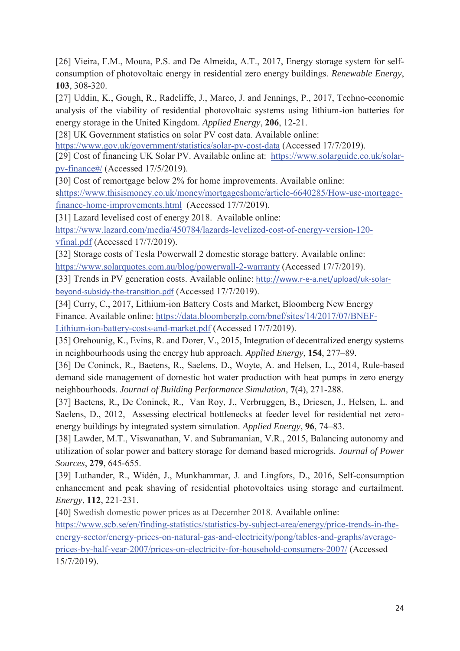[26] Vieira, F.M., Moura, P.S. and De Almeida, A.T., 2017, Energy storage system for selfconsumption of photovoltaic energy in residential zero energy buildings. *Renewable Energy*, **103**, 308-320.

[27] Uddin, K., Gough, R., Radcliffe, J., Marco, J. and Jennings, P., 2017, Techno-economic analysis of the viability of residential photovoltaic systems using lithium-ion batteries for energy storage in the United Kingdom. *Applied Energy*, **206**, 12-21.

[28] UK Government statistics on solar PV cost data. Available online:

https://www.gov.uk/government/statistics/solar-pv-cost-data (Accessed 17/7/2019).

[29] Cost of financing UK Solar PV. Available online at: https://www.solarguide.co.uk/solarpv-finance#/ (Accessed 17/5/2019).

[30] Cost of remortgage below 2% for home improvements. Available online:

shttps://www.thisismoney.co.uk/money/mortgageshome/article-6640285/How-use-mortgagefinance-home-improvements.html (Accessed 17/7/2019).

[31] Lazard levelised cost of energy 2018. Available online:

https://www.lazard.com/media/450784/lazards-levelized-cost-of-energy-version-120 vfinal.pdf (Accessed 17/7/2019).

[32] Storage costs of Tesla Powerwall 2 domestic storage battery. Available online: https://www.solarquotes.com.au/blog/powerwall-2-warranty (Accessed 17/7/2019).

[33] Trends in PV generation costs. Available online: http://www.r-e-a.net/upload/uk-solarbeyond-subsidy-the-transition.pdf (Accessed 17/7/2019).

[34] Curry, C., 2017, Lithium-ion Battery Costs and Market, Bloomberg New Energy Finance. Available online: https://data.bloomberglp.com/bnef/sites/14/2017/07/BNEF-Lithium-ion-battery-costs-and-market.pdf (Accessed 17/7/2019).

[35] Orehounig, K., Evins, R. and Dorer, V., 2015, Integration of decentralized energy systems in neighbourhoods using the energy hub approach. *Applied Energy*, **154**, 277–89.

[36] De Coninck, R., Baetens, R., Saelens, D., Woyte, A. and Helsen, L., 2014, Rule-based demand side management of domestic hot water production with heat pumps in zero energy neighbourhoods. *Journal of Building Performance Simulation*, **7**(4), 271-288.

[37] Baetens, R., De Coninck, R., Van Roy, J., Verbruggen, B., Driesen, J., Helsen, L. and Saelens, D., 2012, Assessing electrical bottlenecks at feeder level for residential net zeroenergy buildings by integrated system simulation. *Applied Energy*, **96**, 74–83.

[38] Lawder, M.T., Viswanathan, V. and Subramanian, V.R., 2015, Balancing autonomy and utilization of solar power and battery storage for demand based microgrids. *Journal of Power Sources*, **279**, 645-655.

[39] Luthander, R., Widén, J., Munkhammar, J. and Lingfors, D., 2016, Self-consumption enhancement and peak shaving of residential photovoltaics using storage and curtailment. *Energy*, **112**, 221-231.

[40] Swedish domestic power prices as at December 2018. Available online:

https://www.scb.se/en/finding-statistics/statistics-by-subject-area/energy/price-trends-in-theenergy-sector/energy-prices-on-natural-gas-and-electricity/pong/tables-and-graphs/averageprices-by-half-year-2007/prices-on-electricity-for-household-consumers-2007/ (Accessed 15/7/2019).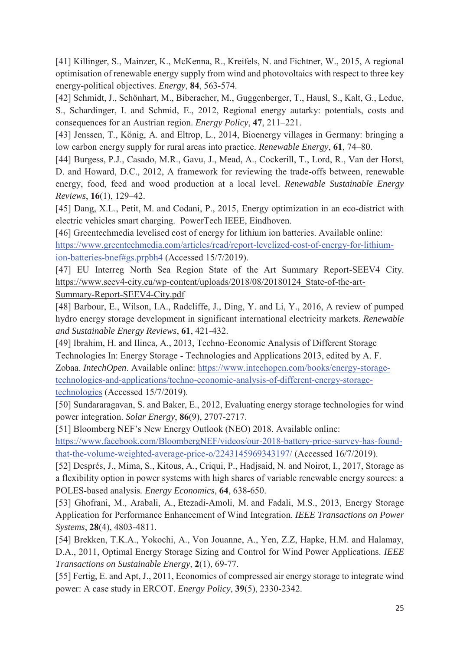[41] Killinger, S., Mainzer, K., McKenna, R., Kreifels, N. and Fichtner, W., 2015, A regional optimisation of renewable energy supply from wind and photovoltaics with respect to three key energy-political objectives. *Energy*, **84**, 563-574.

[42] Schmidt, J., Schönhart, M., Biberacher, M., Guggenberger, T., Hausl, S., Kalt, G., Leduc, S., Schardinger, I. and Schmid, E., 2012, Regional energy autarky: potentials, costs and consequences for an Austrian region. *Energy Policy*, **47**, 211–221.

[43] Jenssen, T., König, A. and Eltrop, L., 2014, Bioenergy villages in Germany: bringing a low carbon energy supply for rural areas into practice. *Renewable Energy*, **61**, 74–80.

[44] Burgess, P.J., Casado, M.R., Gavu, J., Mead, A., Cockerill, T., Lord, R., Van der Horst, D. and Howard, D.C., 2012, A framework for reviewing the trade-offs between, renewable energy, food, feed and wood production at a local level. *Renewable Sustainable Energy Reviews*, **16**(1), 129–42.

[45] Dang, X.L., Petit, M. and Codani, P., 2015, Energy optimization in an eco-district with electric vehicles smart charging. PowerTech IEEE, Eindhoven.

[46] Greentechmedia levelised cost of energy for lithium ion batteries. Available online: https://www.greentechmedia.com/articles/read/report-levelized-cost-of-energy-for-lithiumion-batteries-bnef#gs.prpbh4 (Accessed 15/7/2019).

[47] EU Interreg North Sea Region State of the Art Summary Report-SEEV4 City. https://www.seev4-city.eu/wp-content/uploads/2018/08/20180124\_State-of-the-art-Summary-Report-SEEV4-City.pdf

[48] Barbour, E., Wilson, I.A., Radcliffe, J., Ding, Y. and Li, Y., 2016, A review of pumped hydro energy storage development in significant international electricity markets. *Renewable and Sustainable Energy Reviews*, **61**, 421-432.

[49] Ibrahim, H. and Ilinca, A., 2013, Techno-Economic Analysis of Different Storage Technologies In: Energy Storage - Technologies and Applications 2013, edited by A. F. Zobaa. *IntechOpen*. Available online: https://www.intechopen.com/books/energy-storagetechnologies-and-applications/techno-economic-analysis-of-different-energy-storagetechnologies (Accessed 15/7/2019).

[50] Sundararagavan, S. and Baker, E., 2012, Evaluating energy storage technologies for wind power integration. *Solar Energy*, **86**(9), 2707-2717.

[51] Bloomberg NEF's New Energy Outlook (NEO) 2018. Available online:

https://www.facebook.com/BloombergNEF/videos/our-2018-battery-price-survey-has-foundthat-the-volume-weighted-average-price-o/2243145969343197/ (Accessed 16/7/2019).

[52] Després, J., Mima, S., Kitous, A., Criqui, P., Hadjsaid, N. and Noirot, I., 2017, Storage as a flexibility option in power systems with high shares of variable renewable energy sources: a POLES-based analysis*. Energy Economics*, **64**, 638-650.

[53] Ghofrani, M., Arabali, A., Etezadi-Amoli, M. and Fadali, M.S., 2013, Energy Storage Application for Performance Enhancement of Wind Integration. *IEEE Transactions on Power Systems*, **28**(4), 4803-4811.

[54] Brekken, T.K.A., Yokochi, A., Von Jouanne, A., Yen, Z.Z, Hapke, H.M. and Halamay, D.A., 2011, Optimal Energy Storage Sizing and Control for Wind Power Applications. *IEEE Transactions on Sustainable Energy*, **2**(1), 69-77.

[55] Fertig, E. and Apt, J., 2011, Economics of compressed air energy storage to integrate wind power: A case study in ERCOT. *Energy Policy*, **39**(5), 2330-2342.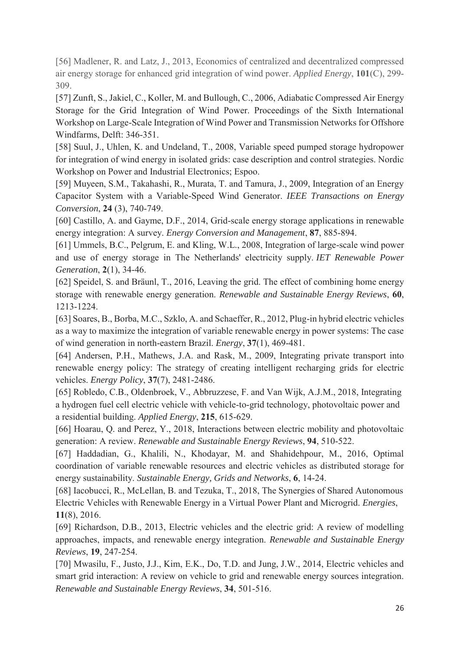[56] Madlener, R. and Latz, J., 2013, Economics of centralized and decentralized compressed air energy storage for enhanced grid integration of wind power. *Applied Energy*, **101**(C), 299- 309.

[57] Zunft, S., Jakiel, C., Koller, M. and Bullough, C., 2006, Adiabatic Compressed Air Energy Storage for the Grid Integration of Wind Power. Proceedings of the Sixth International Workshop on Large-Scale Integration of Wind Power and Transmission Networks for Offshore Windfarms, Delft: 346-351.

[58] Suul, J., Uhlen, K. and Undeland, T., 2008, Variable speed pumped storage hydropower for integration of wind energy in isolated grids: case description and control strategies. Nordic Workshop on Power and Industrial Electronics; Espoo.

[59] Muyeen, S.M., Takahashi, R., Murata, T. and Tamura, J., 2009, Integration of an Energy Capacitor System with a Variable-Speed Wind Generator. *IEEE Transactions on Energy Conversion*, **24** (3), 740-749.

[60] Castillo, A. and Gayme, D.F., 2014, Grid-scale energy storage applications in renewable energy integration: A survey. *Energy Conversion and Management*, **87**, 885-894.

[61] Ummels, B.C., Pelgrum, E. and Kling, W.L., 2008, Integration of large-scale wind power and use of energy storage in The Netherlands' electricity supply. *IET Renewable Power Generation*, **2**(1), 34-46.

[62] Speidel, S. and Bräunl, T., 2016, Leaving the grid. The effect of combining home energy storage with renewable energy generation. *Renewable and Sustainable Energy Reviews*, **60**, 1213-1224.

[63] Soares, B., Borba, M.C., Szklo, A. and Schaeffer, R., 2012, Plug-in hybrid electric vehicles as a way to maximize the integration of variable renewable energy in power systems: The case of wind generation in north-eastern Brazil. *Energy*, **37**(1), 469-481.

[64] Andersen, P.H., Mathews, J.A. and Rask, M., 2009, Integrating private transport into renewable energy policy: The strategy of creating intelligent recharging grids for electric vehicles. *Energy Policy*, **37**(7), 2481-2486.

[65] Robledo, C.B., Oldenbroek, V., Abbruzzese, F. and Van Wijk, A.J.M., 2018, Integrating a hydrogen fuel cell electric vehicle with vehicle-to-grid technology, photovoltaic power and a residential building. *Applied Energy*, **215**, 615-629.

[66] Hoarau, Q. and Perez, Y., 2018, Interactions between electric mobility and photovoltaic generation: A review. *Renewable and Sustainable Energy Reviews*, **94**, 510-522.

[67] Haddadian, G., Khalili, N., Khodayar, M. and Shahidehpour, M., 2016, Optimal coordination of variable renewable resources and electric vehicles as distributed storage for energy sustainability. *Sustainable Energy, Grids and Networks*, **6**, 14-24.

[68] Iacobucci, R., McLellan, B. and Tezuka, T., 2018, The Synergies of Shared Autonomous Electric Vehicles with Renewable Energy in a Virtual Power Plant and Microgrid. *Energies*, **11**(8), 2016.

[69] Richardson, D.B., 2013, Electric vehicles and the electric grid: A review of modelling approaches, impacts, and renewable energy integration. *Renewable and Sustainable Energy Reviews*, **19**, 247-254.

[70] Mwasilu, F., Justo, J.J., Kim, E.K., Do, T.D. and Jung, J.W., 2014, Electric vehicles and smart grid interaction: A review on vehicle to grid and renewable energy sources integration. *Renewable and Sustainable Energy Reviews*, **34**, 501-516.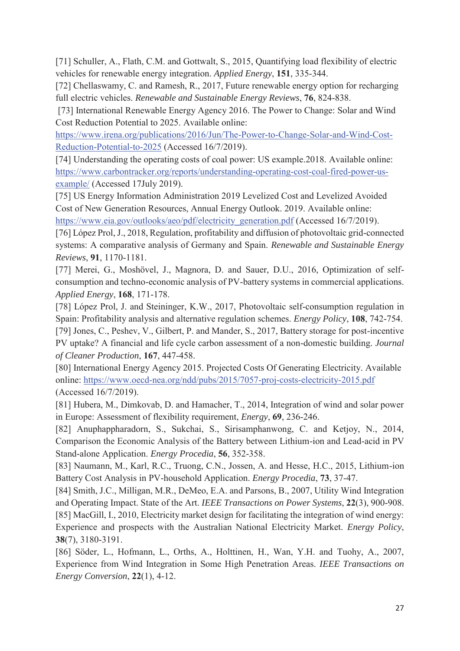[71] Schuller, A., Flath, C.M. and Gottwalt, S., 2015, Quantifying load flexibility of electric vehicles for renewable energy integration. *Applied Energy*, **151**, 335-344.

[72] Chellaswamy, C. and Ramesh, R., 2017, Future renewable energy option for recharging full electric vehicles. *Renewable and Sustainable Energy Reviews*, **76**, 824-838.

 [73] International Renewable Energy Agency 2016. The Power to Change: Solar and Wind Cost Reduction Potential to 2025. Available online:

https://www.irena.org/publications/2016/Jun/The-Power-to-Change-Solar-and-Wind-Cost-Reduction-Potential-to-2025 (Accessed 16/7/2019).

[74] Understanding the operating costs of coal power: US example. 2018. Available online: https://www.carbontracker.org/reports/understanding-operating-cost-coal-fired-power-usexample/ (Accessed 17July 2019).

[75] US Energy Information Administration 2019 Levelized Cost and Levelized Avoided Cost of New Generation Resources, Annual Energy Outlook. 2019. Available online: https://www.eia.gov/outlooks/aeo/pdf/electricity\_generation.pdf (Accessed 16/7/2019).

[76] López Prol, J., 2018, Regulation, profitability and diffusion of photovoltaic grid-connected systems: A comparative analysis of Germany and Spain. *Renewable and Sustainable Energy Reviews*, **91**, 1170-1181.

[77] Merei, G., Moshövel, J., Magnora, D. and Sauer, D.U., 2016, Optimization of selfconsumption and techno-economic analysis of PV-battery systems in commercial applications. *Applied Energy*, **168**, 171-178.

[78] López Prol, J. and Steininger, K.W., 2017, Photovoltaic self-consumption regulation in Spain: Profitability analysis and alternative regulation schemes. *Energy Policy*, **108**, 742-754.

[79] Jones, C., Peshev, V., Gilbert, P. and Mander, S., 2017, Battery storage for post-incentive PV uptake? A financial and life cycle carbon assessment of a non-domestic building. *Journal of Cleaner Production*, **167**, 447-458.

[80] International Energy Agency 2015. Projected Costs Of Generating Electricity. Available online: https://www.oecd-nea.org/ndd/pubs/2015/7057-proj-costs-electricity-2015.pdf (Accessed 16/7/2019).

[81] Hubera, M., Dimkovab, D. and Hamacher, T., 2014, Integration of wind and solar power in Europe: Assessment of flexibility requirement, *Energy*, **69**, 236-246.

[82] Anuphappharadorn, S., Sukchai, S., Sirisamphanwong, C. and Ketjoy, N., 2014, Comparison the Economic Analysis of the Battery between Lithium-ion and Lead-acid in PV Stand-alone Application. *Energy Procedia*, **56**, 352-358.

[83] Naumann, M., Karl, R.C., Truong, C.N., Jossen, A. and Hesse, H.C., 2015, Lithium-ion Battery Cost Analysis in PV-household Application. *Energy Procedia*, **73**, 37-47.

[84] Smith, J.C., Milligan, M.R., DeMeo, E.A. and Parsons, B., 2007, Utility Wind Integration and Operating Impact. State of the Art. *IEEE Transactions on Power Systems*, **22**(3), 900-908. [85] MacGill, I., 2010, Electricity market design for facilitating the integration of wind energy: Experience and prospects with the Australian National Electricity Market. *Energy Policy*, **38**(7), 3180-3191.

[86] Söder, L., Hofmann, L., Orths, A., Holttinen, H., Wan, Y.H. and Tuohy, A., 2007, Experience from Wind Integration in Some High Penetration Areas. *IEEE Transactions on Energy Conversion*, **22**(1), 4-12.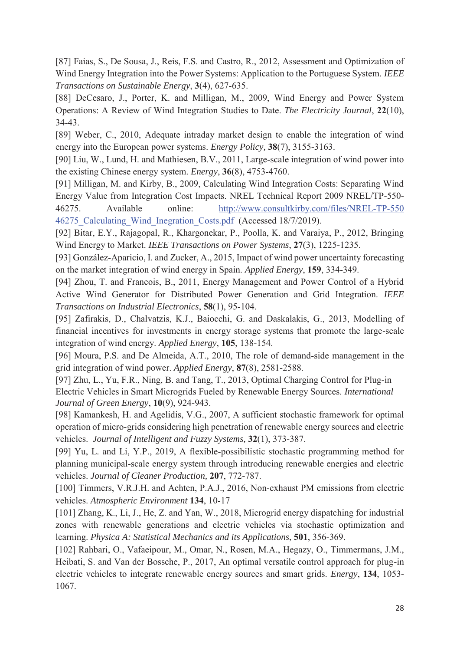[87] Faias, S., De Sousa, J., Reis, F.S. and Castro, R., 2012, Assessment and Optimization of Wind Energy Integration into the Power Systems: Application to the Portuguese System. *IEEE Transactions on Sustainable Energy*, **3**(4), 627-635.

[88] DeCesaro, J., Porter, K. and Milligan, M., 2009, Wind Energy and Power System Operations: A Review of Wind Integration Studies to Date. *The Electricity Journal*, **22**(10), 34-43.

[89] Weber, C., 2010, Adequate intraday market design to enable the integration of wind energy into the European power systems. *Energy Policy,* **38**(7), 3155-3163.

[90] Liu, W., Lund, H. and Mathiesen, B.V., 2011, Large-scale integration of wind power into the existing Chinese energy system. *Energy*, **36**(8), 4753-4760.

[91] Milligan, M. and Kirby, B., 2009, Calculating Wind Integration Costs: Separating Wind Energy Value from Integration Cost Impacts. NREL Technical Report 2009 NREL/TP-550- 46275. Available online: http://www.consultkirby.com/files/NREL-TP-550 46275 Calculating Wind Inegration Costs.pdf (Accessed 18/7/2019).

[92] Bitar, E.Y., Rajagopal, R., Khargonekar, P., Poolla, K. and Varaiya, P., 2012, Bringing Wind Energy to Market. *IEEE Transactions on Power Systems*, **27**(3), 1225-1235.

[93] González-Aparicio, I. and Zucker, A., 2015, Impact of wind power uncertainty forecasting on the market integration of wind energy in Spain. *Applied Energy*, **159**, 334-349.

[94] Zhou, T. and Francois, B., 2011, Energy Management and Power Control of a Hybrid Active Wind Generator for Distributed Power Generation and Grid Integration. *IEEE Transactions on Industrial Electronics*, **58**(1), 95-104.

[95] Zafirakis, D., Chalvatzis, K.J., Baiocchi, G. and Daskalakis, G., 2013, Modelling of financial incentives for investments in energy storage systems that promote the large-scale integration of wind energy. *Applied Energy*, **105**, 138-154.

[96] Moura, P.S. and De Almeida, A.T., 2010, The role of demand-side management in the grid integration of wind power. *Applied Energy*, **87**(8), 2581-2588.

[97] Zhu, L., Yu, F.R., Ning, B. and Tang, T., 2013, Optimal Charging Control for Plug-in Electric Vehicles in Smart Microgrids Fueled by Renewable Energy Sources. *International Journal of Green Energy*, **10**(9), 924-943.

[98] Kamankesh, H. and Agelidis, V.G., 2007, A sufficient stochastic framework for optimal operation of micro-grids considering high penetration of renewable energy sources and electric vehicles. *Journal of Intelligent and Fuzzy Systems,* **32**(1), 373-387.

[99] Yu, L. and Li, Y.P., 2019, A flexible-possibilistic stochastic programming method for planning municipal-scale energy system through introducing renewable energies and electric vehicles. *Journal of Cleaner Production,* **207**, 772-787.

[100] Timmers, V.R.J.H. and Achten, P.A.J., 2016, Non-exhaust PM emissions from electric vehicles. *Atmospheric Environment* **134**, 10-17

[101] Zhang, K., Li, J., He, Z. and Yan, W., 2018, Microgrid energy dispatching for industrial zones with renewable generations and electric vehicles via stochastic optimization and learning. *Physica A: Statistical Mechanics and its Applications*, **501**, 356-369.

[102] Rahbari, O., Vafaeipour, M., Omar, N., Rosen, M.A., Hegazy, O., Timmermans, J.M., Heibati, S. and Van der Bossche, P., 2017, An optimal versatile control approach for plug-in electric vehicles to integrate renewable energy sources and smart grids. *Energy*, **134**, 1053- 1067.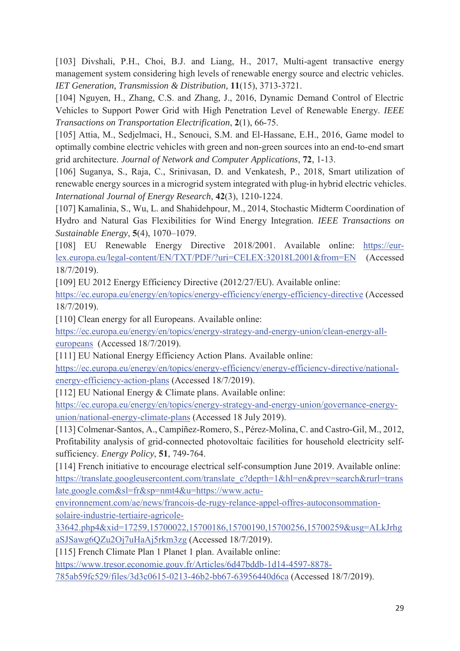[103] Divshali, P.H., Choi, B.J. and Liang, H., 2017, Multi-agent transactive energy management system considering high levels of renewable energy source and electric vehicles. *IET Generation, Transmission & Distribution,* **11**(15), 3713-3721.

[104] Nguyen, H., Zhang, C.S. and Zhang, J., 2016, Dynamic Demand Control of Electric Vehicles to Support Power Grid with High Penetration Level of Renewable Energy. *IEEE Transactions on Transportation Electrification*, **2**(1), 66-75.

[105] Attia, M., Sedjelmaci, H., Senouci, S.M. and El-Hassane, E.H., 2016, Game model to optimally combine electric vehicles with green and non-green sources into an end-to-end smart grid architecture. *Journal of Network and Computer Applications*, **72**, 1-13.

[106] Suganya, S., Raja, C., Srinivasan, D. and Venkatesh, P., 2018, Smart utilization of renewable energy sources in a microgrid system integrated with plug-in hybrid electric vehicles. *International Journal of Energy Research*, **42**(3), 1210-1224.

[107] Kamalinia, S., Wu, L. and Shahidehpour, M., 2014, Stochastic Midterm Coordination of Hydro and Natural Gas Flexibilities for Wind Energy Integration. *IEEE Transactions on Sustainable Energy*, **5**(4), 1070–1079.

[108] EU Renewable Energy Directive 2018/2001. Available online: https://eurlex.europa.eu/legal-content/EN/TXT/PDF/?uri=CELEX:32018L2001&from=EN (Accessed 18/7/2019).

[109] EU 2012 Energy Efficiency Directive (2012/27/EU). Available online:

https://ec.europa.eu/energy/en/topics/energy-efficiency/energy-efficiency-directive (Accessed 18/7/2019).

[110] Clean energy for all Europeans. Available online:

https://ec.europa.eu/energy/en/topics/energy-strategy-and-energy-union/clean-energy-alleuropeans (Accessed 18/7/2019).

[111] EU National Energy Efficiency Action Plans. Available online:

https://ec.europa.eu/energy/en/topics/energy-efficiency/energy-efficiency-directive/nationalenergy-efficiency-action-plans (Accessed 18/7/2019).

[112] EU National Energy & Climate plans. Available online:

https://ec.europa.eu/energy/en/topics/energy-strategy-and-energy-union/governance-energyunion/national-energy-climate-plans (Accessed 18 July 2019).

[113] Colmenar-Santos, A., Campíñez-Romero, S., Pérez-Molina, C. and Castro-Gil, M., 2012, Profitability analysis of grid-connected photovoltaic facilities for household electricity selfsufficiency. *Energy Policy*, **51**, 749-764.

[114] French initiative to encourage electrical self-consumption June 2019. Available online: https://translate.googleusercontent.com/translate\_c?depth=1&hl=en&prev=search&rurl=trans late.google.com&sl=fr&sp=nmt4&u=https://www.actu-

environnement.com/ae/news/francois-de-rugy-relance-appel-offres-autoconsommationsolaire-industrie-tertiaire-agricole-

33642.php4&xid=17259,15700022,15700186,15700190,15700256,15700259&usg=ALkJrhg aSJSawg6QZu2Oj7uHaAj5rkm3zg (Accessed 18/7/2019).

[115] French Climate Plan 1 Planet 1 plan. Available online:

https://www.tresor.economie.gouv.fr/Articles/6d47bddb-1d14-4597-8878-

785ab59fc529/files/3d3c0615-0213-46b2-bb67-63956440d6ca (Accessed 18/7/2019).